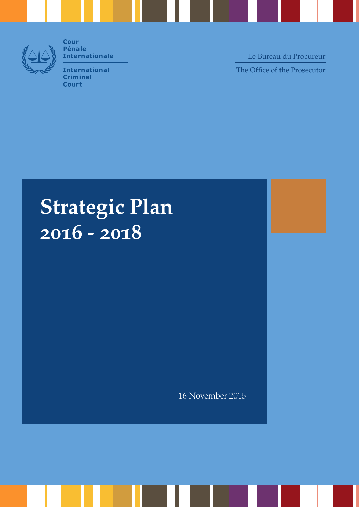

**Cour Pénale Internationale** 

**International Criminal Court** 

The Office of the Prosecutor Le Bureau du Procureur

# **Strategic Plan 2016 - 2018**

16 November 2015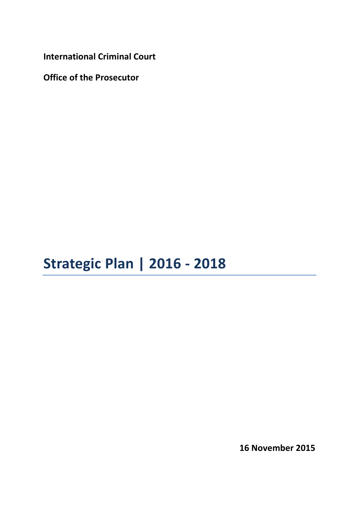**International Criminal Court**

**Office of the Prosecutor**

**Strategic Plan | 2016 - 2018**

**16 November 2015**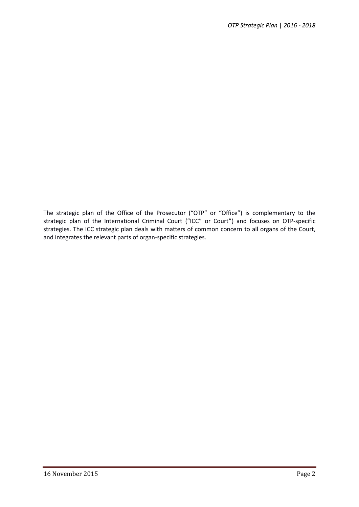The strategic plan of the Office of the Prosecutor ("OTP" or "Office") is complementary to the strategic plan of the International Criminal Court ("ICC" or Court") and focuses on OTP-specific strategies. The ICC strategic plan deals with matters of common concern to all organs of the Court, and integrates the relevant parts of organ-specific strategies.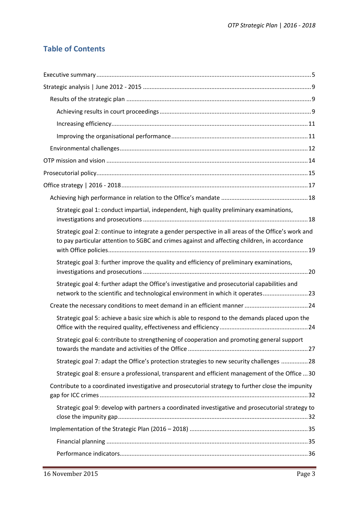# **Table of Contents**

| Strategic goal 1: conduct impartial, independent, high quality preliminary examinations,                                                                                                           |  |
|----------------------------------------------------------------------------------------------------------------------------------------------------------------------------------------------------|--|
| Strategic goal 2: continue to integrate a gender perspective in all areas of the Office's work and<br>to pay particular attention to SGBC and crimes against and affecting children, in accordance |  |
| Strategic goal 3: further improve the quality and efficiency of preliminary examinations,                                                                                                          |  |
| Strategic goal 4: further adapt the Office's investigative and prosecutorial capabilities and<br>network to the scientific and technological environment in which it operates23                    |  |
|                                                                                                                                                                                                    |  |
| Strategic goal 5: achieve a basic size which is able to respond to the demands placed upon the                                                                                                     |  |
| Strategic goal 6: contribute to strengthening of cooperation and promoting general support                                                                                                         |  |
| Strategic goal 7: adapt the Office's protection strategies to new security challenges 28                                                                                                           |  |
| Strategic goal 8: ensure a professional, transparent and efficient management of the Office  30                                                                                                    |  |
| Contribute to a coordinated investigative and prosecutorial strategy to further close the impunity                                                                                                 |  |
| Strategic goal 9: develop with partners a coordinated investigative and prosecutorial strategy to                                                                                                  |  |
|                                                                                                                                                                                                    |  |
|                                                                                                                                                                                                    |  |
|                                                                                                                                                                                                    |  |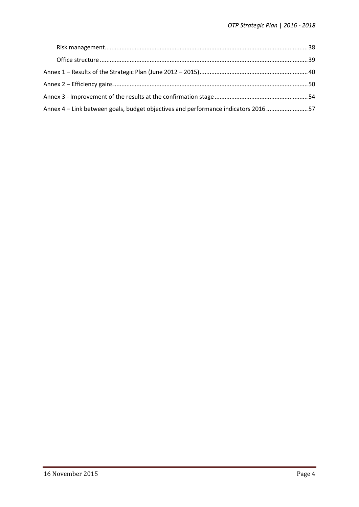| Annex 4 – Link between goals, budget objectives and performance indicators 201657 |  |
|-----------------------------------------------------------------------------------|--|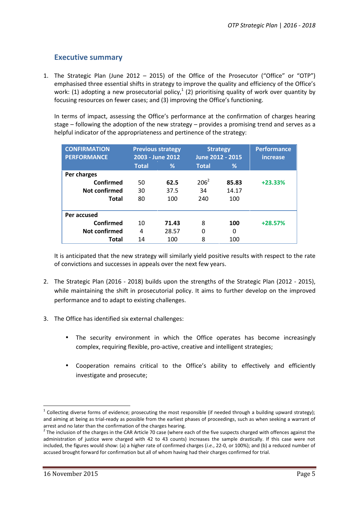# **Executive summary**

1. The Strategic Plan (June 2012 – 2015) of the Office of the Prosecutor ("Office" or "OTP") emphasised three essential shifts in strategy to improve the quality and efficiency of the Office's work: (1) adopting a new prosecutorial policy,<sup>1</sup> (2) prioritising quality of work over quantity by focusing resources on fewer cases; and (3) improving the Office's functioning.

In terms of impact, assessing the Office's performance at the confirmation of charges hearing stage – following the adoption of the new strategy – provides a promising trend and serves as a helpful indicator of the appropriateness and pertinence of the strategy:

| <b>CONFIRMATION</b><br><b>PERFORMANCE</b> | <b>Previous strategy</b><br>2003 - June 2012 |       | <b>Strategy</b><br>June 2012 - 2015 |       | <b>Performance</b><br><i>increase</i> |
|-------------------------------------------|----------------------------------------------|-------|-------------------------------------|-------|---------------------------------------|
|                                           | <b>Total</b>                                 | %     | <b>Total</b>                        | %     |                                       |
| Per charges                               |                                              |       |                                     |       |                                       |
| Confirmed                                 | 50                                           | 62.5  | $206^2$                             | 85.83 | $+23.33%$                             |
| Not confirmed                             | 30                                           | 37.5  | 34                                  | 14.17 |                                       |
| <b>Total</b>                              | 80                                           | 100   | 240                                 | 100   |                                       |
|                                           |                                              |       |                                     |       |                                       |
| Per accused                               |                                              |       |                                     |       |                                       |
| Confirmed                                 | 10                                           | 71.43 | 8                                   | 100   | $+28.57%$                             |
| <b>Not confirmed</b>                      | 4                                            | 28.57 | 0                                   | 0     |                                       |
| <b>Total</b>                              | 14                                           | 100   | 8                                   | 100   |                                       |

It is anticipated that the new strategy will similarly yield positive results with respect to the rate of convictions and successes in appeals over the next few years.

- 2. The Strategic Plan (2016 2018) builds upon the strengths of the Strategic Plan (2012 2015), while maintaining the shift in prosecutorial policy. It aims to further develop on the improved performance and to adapt to existing challenges.
- 3. The Office has identified six external challenges:
	- The security environment in which the Office operates has become increasingly complex, requiring flexible, pro-active, creative and intelligent strategies;
	- Cooperation remains critical to the Office's ability to effectively and efficiently investigate and prosecute;

 $1$  Collecting diverse forms of evidence; prosecuting the most responsible (if needed through a building upward strategy); and aiming at being as trial-ready as possible from the earliest phases of proceedings, such as when seeking a warrant of

arrest and no later than the confirmation of the charges hearing.<br><sup>2</sup> The inclusion of the charges in the CAR Article 70 case (where each of the five suspects charged with offences against the administration of justice were charged with 42 to 43 counts) increases the sample drastically. If this case were not included, the figures would show: (a) a higher rate of confirmed charges (*i.e.*, 22-0, or 100%); and (b) a reduced number of accused brought forward for confirmation but all of whom having had their charges confirmed for trial.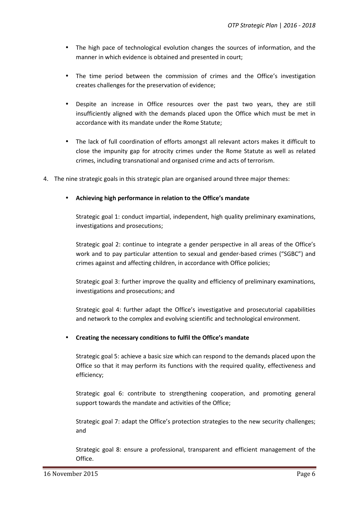- The high pace of technological evolution changes the sources of information, and the manner in which evidence is obtained and presented in court;
- The time period between the commission of crimes and the Office's investigation creates challenges for the preservation of evidence;
- Despite an increase in Office resources over the past two years, they are still insufficiently aligned with the demands placed upon the Office which must be met in accordance with its mandate under the Rome Statute;
- The lack of full coordination of efforts amongst all relevant actors makes it difficult to close the impunity gap for atrocity crimes under the Rome Statute as well as related crimes, including transnational and organised crime and acts of terrorism.
- 4. The nine strategic goals in this strategic plan are organised around three major themes:

#### **Achieving high performance in relation to the Office's mandate**

Strategic goal 1: conduct impartial, independent, high quality preliminary examinations, investigations and prosecutions;

Strategic goal 2: continue to integrate a gender perspective in all areas of the Office's work and to pay particular attention to sexual and gender-based crimes ("SGBC") and crimes against and affecting children, in accordance with Office policies;

Strategic goal 3: further improve the quality and efficiency of preliminary examinations, investigations and prosecutions; and

Strategic goal 4: further adapt the Office's investigative and prosecutorial capabilities and network to the complex and evolving scientific and technological environment.

#### **Creating the necessary conditions to fulfil the Office's mandate**

Strategic goal 5: achieve a basic size which can respond to the demands placed upon the Office so that it may perform its functions with the required quality, effectiveness and efficiency;

Strategic goal 6: contribute to strengthening cooperation, and promoting general support towards the mandate and activities of the Office;

Strategic goal 7: adapt the Office's protection strategies to the new security challenges; and

Strategic goal 8: ensure a professional, transparent and efficient management of the Office.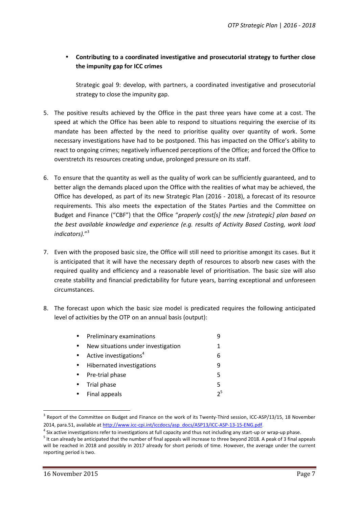## **Contributing to a coordinated investigative and prosecutorial strategy to further close the impunity gap for ICC crimes**

Strategic goal 9: develop, with partners, a coordinated investigative and prosecutorial strategy to close the impunity gap.

- 5. The positive results achieved by the Office in the past three years have come at a cost. The speed at which the Office has been able to respond to situations requiring the exercise of its mandate has been affected by the need to prioritise quality over quantity of work. Some necessary investigations have had to be postponed. This has impacted on the Office's ability to react to ongoing crimes; negatively influenced perceptions of the Office; and forced the Office to overstretch its resources creating undue, prolonged pressure on its staff.
- 6. To ensure that the quantity as well as the quality of work can be sufficiently guaranteed, and to better align the demands placed upon the Office with the realities of what may be achieved, the Office has developed, as part of its new Strategic Plan (2016 - 2018), a forecast of its resource requirements. This also meets the expectation of the States Parties and the Committee on Budget and Finance ("CBF") that the Office "*properly cost[s] the new [strategic] plan based on the best available knowledge and experience (e.g. results of Activity Based Costing, work load indicators).*" 3
- 7. Even with the proposed basic size, the Office will still need to prioritise amongst its cases. But it is anticipated that it will have the necessary depth of resources to absorb new cases with the required quality and efficiency and a reasonable level of prioritisation. The basic size will also create stability and financial predictability for future years, barring exceptional and unforeseen circumstances.
- 8. The forecast upon which the basic size model is predicated requires the following anticipated level of activities by the OTP on an annual basis (output):

|           | • Preliminary examinations           |                |
|-----------|--------------------------------------|----------------|
| $\bullet$ | New situations under investigation   | 1              |
|           | • Active investigations <sup>4</sup> | 6              |
| $\bullet$ | Hibernated investigations            | q              |
|           | • Pre-trial phase                    | 5              |
| $\bullet$ | Trial phase                          | 5              |
|           | • Final appeals                      | 2 <sup>5</sup> |

<sup>&</sup>lt;sup>3</sup> Report of the Committee on Budget and Finance on the work of its Twenty-Third session, ICC-ASP/13/15, 18 November 2014, para.51, available at http://www.icc-cpi.int/iccdocs/asp\_docs/ASP13/ICC-ASP-13-15-ENG.pdf.

 $4$  Six active investigations refer to investigations at full capacity and thus not including any start-up or wrap-up phase.

It can already be anticipated that the number of final appeals will increase to three beyond 2018. A peak of 3 final appeals will be reached in 2018 and possibly in 2017 already for short periods of time. However, the average under the current reporting period is two.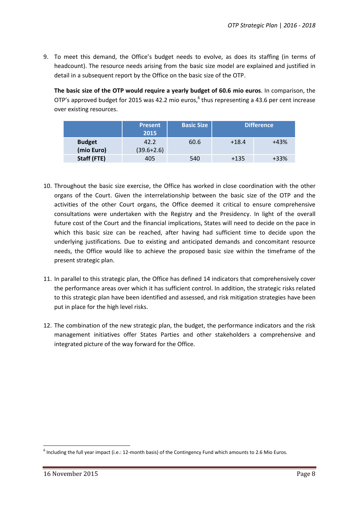9. To meet this demand, the Office's budget needs to evolve, as does its staffing (in terms of headcount). The resource needs arising from the basic size model are explained and justified in detail in a subsequent report by the Office on the basic size of the OTP.

**The basic size of the OTP would require a yearly budget of 60.6 mio euros**. In comparison, the OTP's approved budget for 2015 was 42.2 mio euros, $6$  thus representing a 43.6 per cent increase over existing resources.

|                             | <b>Present</b><br>2015 | <b>Basic Size</b> | <b>Difference</b> |        |
|-----------------------------|------------------------|-------------------|-------------------|--------|
| <b>Budget</b><br>(mio Euro) | 42.2<br>$(39.6 + 2.6)$ | 60.6              | $+18.4$           | $+43%$ |
| Staff (FTE)                 | 405                    | 540               | $+135$            | $+33%$ |

- 10. Throughout the basic size exercise, the Office has worked in close coordination with the other organs of the Court. Given the interrelationship between the basic size of the OTP and the activities of the other Court organs, the Office deemed it critical to ensure comprehensive consultations were undertaken with the Registry and the Presidency. In light of the overall future cost of the Court and the financial implications, States will need to decide on the pace in which this basic size can be reached, after having had sufficient time to decide upon the underlying justifications. Due to existing and anticipated demands and concomitant resource needs, the Office would like to achieve the proposed basic size within the timeframe of the present strategic plan.
- 11. In parallel to this strategic plan, the Office has defined 14 indicators that comprehensively cover the performance areas over which it has sufficient control. In addition, the strategic risks related to this strategic plan have been identified and assessed, and risk mitigation strategies have been put in place for the high level risks.
- 12. The combination of the new strategic plan, the budget, the performance indicators and the risk management initiatives offer States Parties and other stakeholders a comprehensive and integrated picture of the way forward for the Office.

 $^6$  Including the full year impact (i.e.: 12-month basis) of the Contingency Fund which amounts to 2.6 Mio Euros.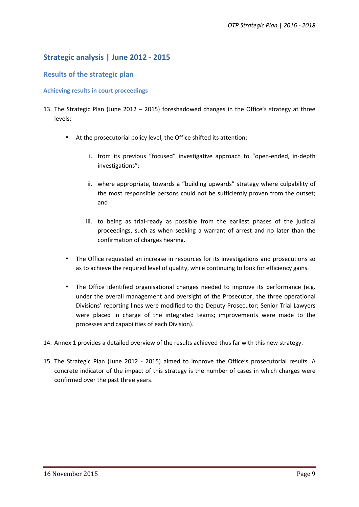# **Strategic analysis | June 2012 - 2015**

#### **Results of the strategic plan**

#### **Achieving results in court proceedings**

- 13. The Strategic Plan (June 2012 2015) foreshadowed changes in the Office's strategy at three levels:
	- At the prosecutorial policy level, the Office shifted its attention:
		- i. from its previous "focused" investigative approach to "open-ended, in-depth investigations";
		- ii. where appropriate, towards a "building upwards" strategy where culpability of the most responsible persons could not be sufficiently proven from the outset; and
		- iii. to being as trial-ready as possible from the earliest phases of the judicial proceedings, such as when seeking a warrant of arrest and no later than the confirmation of charges hearing.
	- The Office requested an increase in resources for its investigations and prosecutions so as to achieve the required level of quality, while continuing to look for efficiency gains.
	- The Office identified organisational changes needed to improve its performance (e.g. under the overall management and oversight of the Prosecutor, the three operational Divisions' reporting lines were modified to the Deputy Prosecutor; Senior Trial Lawyers were placed in charge of the integrated teams; improvements were made to the processes and capabilities of each Division).
- 14. Annex 1 provides a detailed overview of the results achieved thus far with this new strategy.
- 15. The Strategic Plan (June 2012 2015) aimed to improve the Office's prosecutorial results. A concrete indicator of the impact of this strategy is the number of cases in which charges were confirmed over the past three years.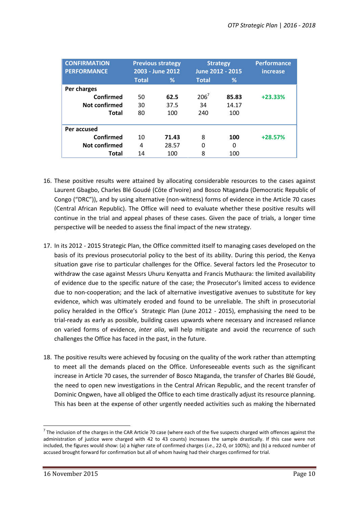| <b>CONFIRMATION</b><br><b>PERFORMANCE</b> | <b>Previous strategy</b><br>2003 - June 2012 |       | <b>Strategy</b><br>June 2012 - 2015 |       | <b>Performance</b><br>increase |
|-------------------------------------------|----------------------------------------------|-------|-------------------------------------|-------|--------------------------------|
|                                           | <b>Total</b>                                 | ℅     | <b>Total</b>                        | %     |                                |
| Per charges                               |                                              |       |                                     |       |                                |
| Confirmed                                 | 50                                           | 62.5  | $206^7$                             | 85.83 | $+23.33%$                      |
| Not confirmed                             | 30                                           | 37.5  | 34                                  | 14.17 |                                |
| <b>Total</b>                              | 80                                           | 100   | 240                                 | 100   |                                |
| Per accused                               |                                              |       |                                     |       |                                |
| Confirmed                                 | 10                                           | 71.43 | 8                                   | 100   | $+28.57%$                      |
| <b>Not confirmed</b>                      | 4                                            | 28.57 | 0                                   | 0     |                                |
| Total                                     | 14                                           | 100   | 8                                   | 100   |                                |

- 16. These positive results were attained by allocating considerable resources to the cases against Laurent Gbagbo, Charles Blé Goudé (Côte d'Ivoire) and Bosco Ntaganda (Democratic Republic of Congo ("DRC")), and by using alternative (non-witness) forms of evidence in the Article 70 cases (Central African Republic). The Office will need to evaluate whether these positive results will continue in the trial and appeal phases of these cases. Given the pace of trials, a longer time perspective will be needed to assess the final impact of the new strategy.
- 17. In its 2012 2015 Strategic Plan, the Office committed itself to managing cases developed on the basis of its previous prosecutorial policy to the best of its ability. During this period, the Kenya situation gave rise to particular challenges for the Office. Several factors led the Prosecutor to withdraw the case against Messrs Uhuru Kenyatta and Francis Muthaura: the limited availability of evidence due to the specific nature of the case; the Prosecutor's limited access to evidence due to non-cooperation; and the lack of alternative investigative avenues to substitute for key evidence, which was ultimately eroded and found to be unreliable. The shift in prosecutorial policy heralded in the Office's Strategic Plan (June 2012 - 2015), emphasising the need to be trial-ready as early as possible, building cases upwards where necessary and increased reliance on varied forms of evidence, *inter alia*, will help mitigate and avoid the recurrence of such challenges the Office has faced in the past, in the future.
- 18. The positive results were achieved by focusing on the quality of the work rather than attempting to meet all the demands placed on the Office. Unforeseeable events such as the significant increase in Article 70 cases, the surrender of Bosco Ntaganda, the transfer of Charles Blé Goudé, the need to open new investigations in the Central African Republic, and the recent transfer of Dominic Ongwen, have all obliged the Office to each time drastically adjust its resource planning. This has been at the expense of other urgently needed activities such as making the hibernated

 $7$  The inclusion of the charges in the CAR Article 70 case (where each of the five suspects charged with offences against the administration of justice were charged with 42 to 43 counts) increases the sample drastically. If this case were not included, the figures would show: (a) a higher rate of confirmed charges (*i.e.*, 22-0, or 100%); and (b) a reduced number of accused brought forward for confirmation but all of whom having had their charges confirmed for trial.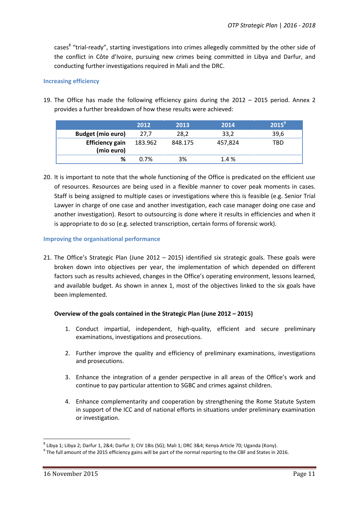cases<sup>8</sup> "trial-ready", starting investigations into crimes allegedly committed by the other side of the conflict in Côte d'Ivoire, pursuing new crimes being committed in Libya and Darfur, and conducting further investigations required in Mali and the DRC.

#### **Increasing efficiency**

19. The Office has made the following efficiency gains during the 2012 – 2015 period. Annex 2 provides a further breakdown of how these results were achieved:

|                                      | 2012    | 2013    | 2014    | $2015^9$ |
|--------------------------------------|---------|---------|---------|----------|
| <b>Budget (mio euro)</b>             | 27,7    | 28,2    | 33,2    | 39,6     |
| <b>Efficiency gain</b><br>(mio euro) | 183.962 | 848.175 | 457,824 | TBD      |
| %                                    | 0.7%    | 3%      | 1.4%    |          |

20. It is important to note that the whole functioning of the Office is predicated on the efficient use of resources. Resources are being used in a flexible manner to cover peak moments in cases. Staff is being assigned to multiple cases or investigations where this is feasible (e.g. Senior Trial Lawyer in charge of one case and another investigation, each case manager doing one case and another investigation). Resort to outsourcing is done where it results in efficiencies and when it is appropriate to do so (e.g. selected transcription, certain forms of forensic work).

#### **Improving the organisational performance**

21. The Office's Strategic Plan (June 2012 – 2015) identified six strategic goals. These goals were broken down into objectives per year, the implementation of which depended on different factors such as results achieved, changes in the Office's operating environment, lessons learned, and available budget. As shown in annex 1, most of the objectives linked to the six goals have been implemented.

#### **Overview of the goals contained in the Strategic Plan (June 2012 – 2015)**

- 1. Conduct impartial, independent, high-quality, efficient and secure preliminary examinations, investigations and prosecutions.
- 2. Further improve the quality and efficiency of preliminary examinations, investigations and prosecutions.
- 3. Enhance the integration of a gender perspective in all areas of the Office's work and continue to pay particular attention to SGBC and crimes against children.
- 4. Enhance complementarity and cooperation by strengthening the Rome Statute System in support of the ICC and of national efforts in situations under preliminary examination or investigation.

<sup>&</sup>lt;sup>8</sup> Libya 1; Libya 2; Darfur 1, 2&4; Darfur 3; CIV 1Bis (SG); Mali 1; DRC 3&4; Kenya Article 70; Uganda (Kony).<br><sup>9</sup> The full amount of the 2015 efficiency gains will be part of the normal reporting to the CBF and States i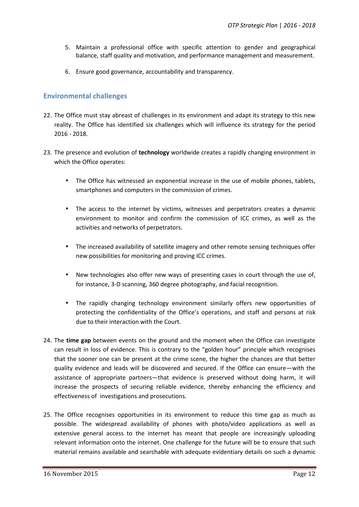- 5. Maintain a professional office with specific attention to gender and geographical balance, staff quality and motivation, and performance management and measurement.
- 6. Ensure good governance, accountability and transparency.

#### **Environmental challenges**

- 22. The Office must stay abreast of challenges in its environment and adapt its strategy to this new reality. The Office has identified six challenges which will influence its strategy for the period 2016 - 2018.
- 23. The presence and evolution of **technology** worldwide creates a rapidly changing environment in which the Office operates:
	- The Office has witnessed an exponential increase in the use of mobile phones, tablets, smartphones and computers in the commission of crimes.
	- The access to the internet by victims, witnesses and perpetrators creates a dynamic environment to monitor and confirm the commission of ICC crimes, as well as the activities and networks of perpetrators.
	- The increased availability of satellite imagery and other remote sensing techniques offer new possibilities for monitoring and proving ICC crimes.
	- New technologies also offer new ways of presenting cases in court through the use of, for instance, 3-D scanning, 360 degree photography, and facial recognition.
	- The rapidly changing technology environment similarly offers new opportunities of protecting the confidentiality of the Office's operations, and staff and persons at risk due to their interaction with the Court.
- 24. The **time gap** between events on the ground and the moment when the Office can investigate can result in loss of evidence. This is contrary to the "golden hour" principle which recognises that the sooner one can be present at the crime scene, the higher the chances are that better quality evidence and leads will be discovered and secured. If the Office can ensure—with the assistance of appropriate partners—that evidence is preserved without doing harm, it will increase the prospects of securing reliable evidence, thereby enhancing the efficiency and effectiveness of investigations and prosecutions.
- 25. The Office recognises opportunities in its environment to reduce this time gap as much as possible. The widespread availability of phones with photo/video applications as well as extensive general access to the internet has meant that people are increasingly uploading relevant information onto the internet. One challenge for the future will be to ensure that such material remains available and searchable with adequate evidentiary details on such a dynamic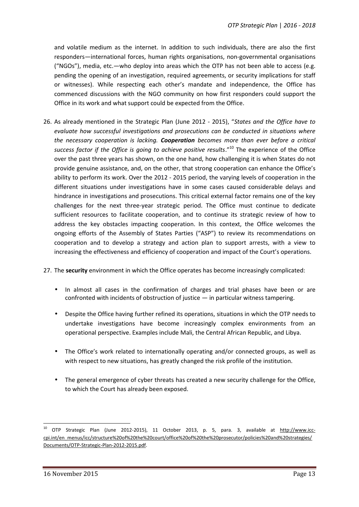and volatile medium as the internet. In addition to such individuals, there are also the first responders—international forces, human rights organisations, non-governmental organisations ("NGOs"), media, etc.—who deploy into areas which the OTP has not been able to access (e.g. pending the opening of an investigation, required agreements, or security implications for staff or witnesses). While respecting each other's mandate and independence, the Office has commenced discussions with the NGO community on how first responders could support the Office in its work and what support could be expected from the Office.

- 26. As already mentioned in the Strategic Plan (June 2012 2015), "*States and the Office have to evaluate how successful investigations and prosecutions can be conducted in situations where the necessary cooperation is lacking. Cooperation becomes more than ever before a critical* success factor if the Office is going to achieve positive results.<sup>"10</sup> The experience of the Office over the past three years has shown, on the one hand, how challenging it is when States do not provide genuine assistance, and, on the other, that strong cooperation can enhance the Office's ability to perform its work. Over the 2012 - 2015 period, the varying levels of cooperation in the different situations under investigations have in some cases caused considerable delays and hindrance in investigations and prosecutions. This critical external factor remains one of the key challenges for the next three-year strategic period. The Office must continue to dedicate sufficient resources to facilitate cooperation, and to continue its strategic review of how to address the key obstacles impacting cooperation. In this context, the Office welcomes the ongoing efforts of the Assembly of States Parties ("ASP") to review its recommendations on cooperation and to develop a strategy and action plan to support arrests, with a view to increasing the effectiveness and efficiency of cooperation and impact of the Court's operations.
- 27. The **security** environment in which the Office operates has become increasingly complicated:
	- In almost all cases in the confirmation of charges and trial phases have been or are confronted with incidents of obstruction of justice — in particular witness tampering.
	- Despite the Office having further refined its operations, situations in which the OTP needs to undertake investigations have become increasingly complex environments from an operational perspective. Examples include Mali, the Central African Republic, and Libya.
	- The Office's work related to internationally operating and/or connected groups, as well as with respect to new situations, has greatly changed the risk profile of the institution.
	- The general emergence of cyber threats has created a new security challenge for the Office, to which the Court has already been exposed.

<sup>10</sup> OTP Strategic Plan (June 2012-2015), 11 October 2013, p. 5, para. 3, available at http://www.icc cpi.int/en\_menus/icc/structure%20of%20the%20court/office%20of%20the%20prosecutor/policies%20and%20strategies/ Documents/OTP-Strategic-Plan-2012-2015.pdf.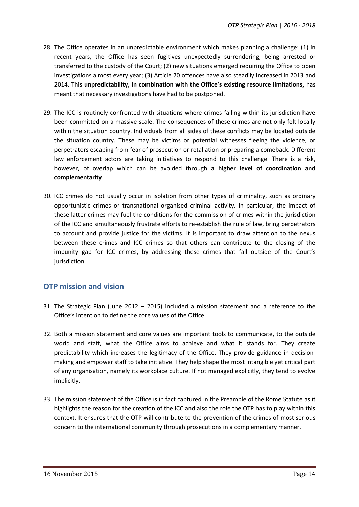- 28. The Office operates in an unpredictable environment which makes planning a challenge: (1) in recent years, the Office has seen fugitives unexpectedly surrendering, being arrested or transferred to the custody of the Court; (2) new situations emerged requiring the Office to open investigations almost every year; (3) Article 70 offences have also steadily increased in 2013 and 2014. This **unpredictability, in combination with the Office's existing resource limitations,** has meant that necessary investigations have had to be postponed.
- 29. The ICC is routinely confronted with situations where crimes falling within its jurisdiction have been committed on a massive scale. The consequences of these crimes are not only felt locally within the situation country. Individuals from all sides of these conflicts may be located outside the situation country. These may be victims or potential witnesses fleeing the violence, or perpetrators escaping from fear of prosecution or retaliation or preparing a comeback. Different law enforcement actors are taking initiatives to respond to this challenge. There is a risk, however, of overlap which can be avoided through **a higher level of coordination and complementarity**.
- 30. ICC crimes do not usually occur in isolation from other types of criminality, such as ordinary opportunistic crimes or transnational organised criminal activity. In particular, the impact of these latter crimes may fuel the conditions for the commission of crimes within the jurisdiction of the ICC and simultaneously frustrate efforts to re-establish the rule of law, bring perpetrators to account and provide justice for the victims. It is important to draw attention to the nexus between these crimes and ICC crimes so that others can contribute to the closing of the impunity gap for ICC crimes, by addressing these crimes that fall outside of the Court's jurisdiction.

# **OTP mission and vision**

- 31. The Strategic Plan (June 2012 2015) included a mission statement and a reference to the Office's intention to define the core values of the Office.
- 32. Both a mission statement and core values are important tools to communicate, to the outside world and staff, what the Office aims to achieve and what it stands for. They create predictability which increases the legitimacy of the Office. They provide guidance in decision making and empower staff to take initiative. They help shape the most intangible yet critical part of any organisation, namely its workplace culture. If not managed explicitly, they tend to evolve implicitly.
- 33. The mission statement of the Office is in fact captured in the Preamble of the Rome Statute as it highlights the reason for the creation of the ICC and also the role the OTP has to play within this context. It ensures that the OTP will contribute to the prevention of the crimes of most serious concern to the international community through prosecutions in a complementary manner.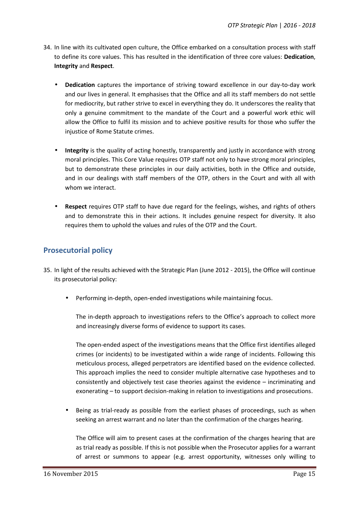- 34. In line with its cultivated open culture, the Office embarked on a consultation process with staff to define its core values. This has resulted in the identification of three core values: **Dedication**, **Integrity** and **Respect**.
	- **Dedication** captures the importance of striving toward excellence in our day-to-day work and our lives in general. It emphasises that the Office and all its staff members do not settle for mediocrity, but rather strive to excel in everything they do. It underscores the reality that only a genuine commitment to the mandate of the Court and a powerful work ethic will allow the Office to fulfil its mission and to achieve positive results for those who suffer the injustice of Rome Statute crimes.
	- **Integrity** is the quality of acting honestly, transparently and justly in accordance with strong moral principles. This Core Value requires OTP staff not only to have strong moral principles, but to demonstrate these principles in our daily activities, both in the Office and outside, and in our dealings with staff members of the OTP, others in the Court and with all with whom we interact.
	- **Respect** requires OTP staff to have due regard for the feelings, wishes, and rights of others and to demonstrate this in their actions. It includes genuine respect for diversity. It also requires them to uphold the values and rules of the OTP and the Court.

# **Prosecutorial policy**

- 35. In light of the results achieved with the Strategic Plan (June 2012 2015), the Office will continue its prosecutorial policy:
	- Performing in-depth, open-ended investigations while maintaining focus.

The in-depth approach to investigations refers to the Office's approach to collect more and increasingly diverse forms of evidence to support its cases.

The open-ended aspect of the investigations means that the Office first identifies alleged crimes (or incidents) to be investigated within a wide range of incidents. Following this meticulous process, alleged perpetrators are identified based on the evidence collected. This approach implies the need to consider multiple alternative case hypotheses and to consistently and objectively test case theories against the evidence – incriminating and exonerating – to support decision-making in relation to investigations and prosecutions.

 Being as trial-ready as possible from the earliest phases of proceedings, such as when seeking an arrest warrant and no later than the confirmation of the charges hearing.

The Office will aim to present cases at the confirmation of the charges hearing that are as trial ready as possible. If this is not possible when the Prosecutor applies for a warrant of arrest or summons to appear (e.g. arrest opportunity, witnesses only willing to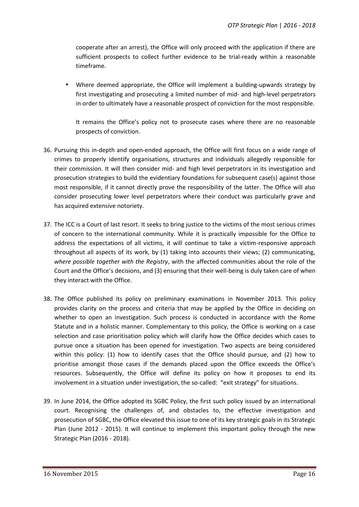cooperate after an arrest), the Office will only proceed with the application if there are sufficient prospects to collect further evidence to be trial-ready within a reasonable timeframe.

 Where deemed appropriate, the Office will implement a building-upwards strategy by first investigating and prosecuting a limited number of mid- and high-level perpetrators in order to ultimately have a reasonable prospect of conviction for the most responsible.

It remains the Office's policy not to prosecute cases where there are no reasonable prospects of conviction.

- 36. Pursuing this in-depth and open-ended approach, the Office will first focus on a wide range of crimes to properly identify organisations, structures and individuals allegedly responsible for their commission. It will then consider mid- and high level perpetrators in its investigation and prosecution strategies to build the evidentiary foundations for subsequent case(s) against those most responsible, if it cannot directly prove the responsibility of the latter. The Office will also consider prosecuting lower level perpetrators where their conduct was particularly grave and has acquired extensive notoriety.
- 37. The ICC is a Court of last resort. It seeks to bring justice to the victims of the most serious crimes of concern to the international community. While it is practically impossible for the Office to address the expectations of all victims, it will continue to take a victim-responsive approach throughout all aspects of its work, by (1) taking into accounts their views; (2) communicating, *where possible together with the Registry*, with the affected communities about the role of the Court and the Office's decisions, and (3) ensuring that their well-being is duly taken care of when they interact with the Office.
- 38. The Office published its policy on preliminary examinations in November 2013. This policy provides clarity on the process and criteria that may be applied by the Office in deciding on whether to open an investigation. Such process is conducted in accordance with the Rome Statute and in a holistic manner. Complementary to this policy, the Office is working on a case selection and case prioritisation policy which will clarify how the Office decides which cases to pursue once a situation has been opened for investigation. Two aspects are being considered within this policy: (1) how to identify cases that the Office should pursue, and (2) how to prioritise amongst those cases if the demands placed upon the Office exceeds the Office's resources. Subsequently, the Office will define its policy on how it proposes to end its involvement in a situation under investigation, the so-called: "exit strategy" for situations.
- 39. In June 2014, the Office adopted its SGBC Policy, the first such policy issued by an international court. Recognising the challenges of, and obstacles to, the effective investigation and prosecution of SGBC, the Office elevated this issue to one of its key strategic goals in its Strategic Plan (June 2012 - 2015). It will continue to implement this important policy through the new Strategic Plan (2016 - 2018).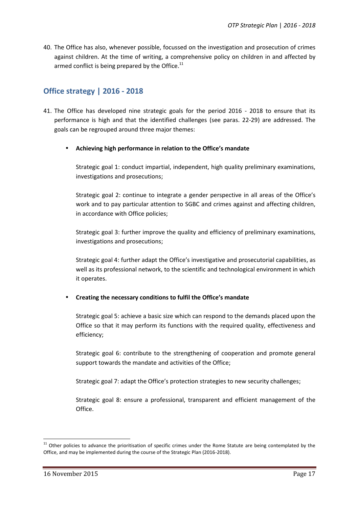40. The Office has also, whenever possible, focussed on the investigation and prosecution of crimes against children. At the time of writing, a comprehensive policy on children in and affected by armed conflict is being prepared by the Office.<sup>11</sup>

# **Office strategy | 2016 - 2018**

- 41. The Office has developed nine strategic goals for the period 2016 2018 to ensure that its performance is high and that the identified challenges (see paras. 22-29) are addressed. The goals can be regrouped around three major themes:
	- **Achieving high performance in relation to the Office's mandate**

Strategic goal 1: conduct impartial, independent, high quality preliminary examinations, investigations and prosecutions;

Strategic goal 2: continue to integrate a gender perspective in all areas of the Office's work and to pay particular attention to SGBC and crimes against and affecting children, in accordance with Office policies;

Strategic goal 3: further improve the quality and efficiency of preliminary examinations, investigations and prosecutions;

Strategic goal 4: further adapt the Office's investigative and prosecutorial capabilities, as well as its professional network, to the scientific and technological environment in which it operates.

#### **Creating the necessary conditions to fulfil the Office's mandate**

Strategic goal 5: achieve a basic size which can respond to the demands placed upon the Office so that it may perform its functions with the required quality, effectiveness and efficiency;

Strategic goal 6: contribute to the strengthening of cooperation and promote general support towards the mandate and activities of the Office;

Strategic goal 7: adapt the Office's protection strategies to new security challenges;

Strategic goal 8: ensure a professional, transparent and efficient management of the Office.

 $11$  Other policies to advance the prioritisation of specific crimes under the Rome Statute are being contemplated by the Office, and may be implemented during the course of the Strategic Plan (2016-2018).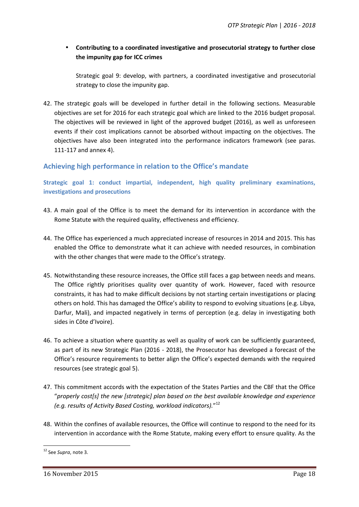#### **Contributing to a coordinated investigative and prosecutorial strategy to further close the impunity gap for ICC crimes**

Strategic goal 9: develop, with partners, a coordinated investigative and prosecutorial strategy to close the impunity gap.

42. The strategic goals will be developed in further detail in the following sections. Measurable objectives are set for 2016 for each strategic goal which are linked to the 2016 budget proposal. The objectives will be reviewed in light of the approved budget (2016), as well as unforeseen events if their cost implications cannot be absorbed without impacting on the objectives. The objectives have also been integrated into the performance indicators framework (see paras. 111-117 and annex 4).

#### **Achieving high performance in relation to the Office's mandate**

**Strategic goal 1: conduct impartial, independent, high quality preliminary examinations, investigations and prosecutions**

- 43. A main goal of the Office is to meet the demand for its intervention in accordance with the Rome Statute with the required quality, effectiveness and efficiency.
- 44. The Office has experienced a much appreciated increase of resources in 2014 and 2015. This has enabled the Office to demonstrate what it can achieve with needed resources, in combination with the other changes that were made to the Office's strategy.
- 45. Notwithstanding these resource increases, the Office still faces a gap between needs and means. The Office rightly prioritises quality over quantity of work. However, faced with resource constraints, it has had to make difficult decisions by not starting certain investigations or placing others on hold. This has damaged the Office's ability to respond to evolving situations (e.g. Libya, Darfur, Mali), and impacted negatively in terms of perception (e.g. delay in investigating both sides in Côte d'Ivoire).
- 46. To achieve a situation where quantity as well as quality of work can be sufficiently guaranteed, as part of its new Strategic Plan (2016 - 2018), the Prosecutor has developed a forecast of the Office's resource requirements to better align the Office's expected demands with the required resources (see strategic goal 5).
- 47. This commitment accords with the expectation of the States Parties and the CBF that the Office "*properly cost[s] the new [strategic] plan based on the best available knowledge and experience (e.g. results of Activity Based Costing, workload indicators).*" 12
- 48. Within the confines of available resources, the Office will continue to respond to the need for its intervention in accordance with the Rome Statute, making every effort to ensure quality. As the

<sup>12</sup> See *Supra*, note 3.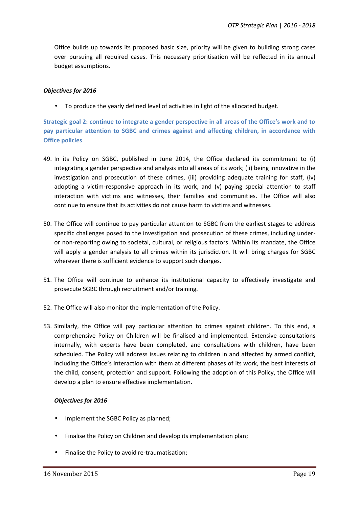Office builds up towards its proposed basic size, priority will be given to building strong cases over pursuing all required cases. This necessary prioritisation will be reflected in its annual budget assumptions.

#### *Objectives for 2016*

To produce the yearly defined level of activities in light of the allocated budget.

**Strategic goal 2: continue to integrate a gender perspective in all areas of the Office's work and to pay particular attention to SGBC and crimes against and affecting children, in accordance with Office policies**

- 49. In its Policy on SGBC, published in June 2014, the Office declared its commitment to (i) integrating a gender perspective and analysis into all areas of its work; (ii) being innovative in the investigation and prosecution of these crimes, (iii) providing adequate training for staff, (iv) adopting a victim-responsive approach in its work, and (v) paying special attention to staff interaction with victims and witnesses, their families and communities. The Office will also continue to ensure that its activities do not cause harm to victims and witnesses.
- 50. The Office will continue to pay particular attention to SGBC from the earliest stages to address specific challenges posed to the investigation and prosecution of these crimes, including under or non-reporting owing to societal, cultural, or religious factors. Within its mandate, the Office will apply a gender analysis to all crimes within its jurisdiction. It will bring charges for SGBC wherever there is sufficient evidence to support such charges.
- 51. The Office will continue to enhance its institutional capacity to effectively investigate and prosecute SGBC through recruitment and/or training.
- 52. The Office will also monitor the implementation of the Policy.
- 53. Similarly, the Office will pay particular attention to crimes against children. To this end, a comprehensive Policy on Children will be finalised and implemented. Extensive consultations internally, with experts have been completed, and consultations with children, have been scheduled. The Policy will address issues relating to children in and affected by armed conflict, including the Office's interaction with them at different phases of its work, the best interests of the child, consent, protection and support. Following the adoption of this Policy, the Office will develop a plan to ensure effective implementation.

#### *Objectives for 2016*

- Implement the SGBC Policy as planned;
- Finalise the Policy on Children and develop its implementation plan;
- Finalise the Policy to avoid re-traumatisation;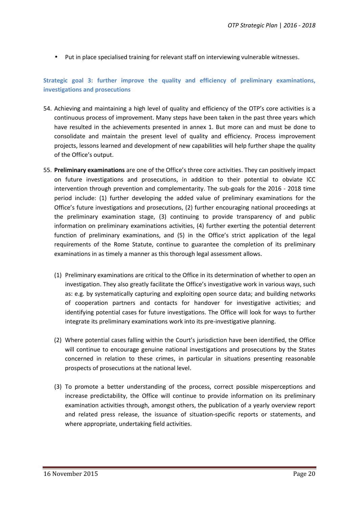Put in place specialised training for relevant staff on interviewing vulnerable witnesses.

#### **Strategic goal 3: further improve the quality and efficiency of preliminary examinations, investigations and prosecutions**

- 54. Achieving and maintaining a high level of quality and efficiency of the OTP's core activities is a continuous process of improvement. Many steps have been taken in the past three years which have resulted in the achievements presented in annex 1. But more can and must be done to consolidate and maintain the present level of quality and efficiency. Process improvement projects, lessons learned and development of new capabilities will help further shape the quality of the Office's output.
- 55. **Preliminary examinations** are one of the Office's three core activities. They can positively impact on future investigations and prosecutions, in addition to their potential to obviate ICC intervention through prevention and complementarity. The sub-goals for the 2016 - 2018 time period include: (1) further developing the added value of preliminary examinations for the Office's future investigations and prosecutions, (2) further encouraging national proceedings at the preliminary examination stage, (3) continuing to provide transparency of and public information on preliminary examinations activities, (4) further exerting the potential deterrent function of preliminary examinations, and (5) in the Office's strict application of the legal requirements of the Rome Statute, continue to guarantee the completion of its preliminary examinations in as timely a manner as this thorough legal assessment allows.
	- (1) Preliminary examinations are critical to the Office in its determination of whether to open an investigation. They also greatly facilitate the Office's investigative work in various ways, such as: e.g. by systematically capturing and exploiting open source data; and building networks of cooperation partners and contacts for handover for investigative activities; and identifying potential cases for future investigations. The Office will look for ways to further integrate its preliminary examinations work into its pre-investigative planning.
	- (2) Where potential cases falling within the Court's jurisdiction have been identified, the Office will continue to encourage genuine national investigations and prosecutions by the States concerned in relation to these crimes, in particular in situations presenting reasonable prospects of prosecutions at the national level.
	- (3) To promote a better understanding of the process, correct possible misperceptions and increase predictability, the Office will continue to provide information on its preliminary examination activities through, amongst others, the publication of a yearly overview report and related press release, the issuance of situation-specific reports or statements, and where appropriate, undertaking field activities.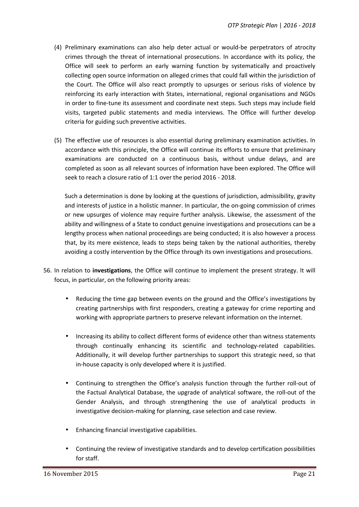- (4) Preliminary examinations can also help deter actual or would-be perpetrators of atrocity crimes through the threat of international prosecutions. In accordance with its policy, the Office will seek to perform an early warning function by systematically and proactively collecting open source information on alleged crimes that could fall within the jurisdiction of the Court. The Office will also react promptly to upsurges or serious risks of violence by reinforcing its early interaction with States, international, regional organisations and NGOs in order to fine-tune its assessment and coordinate next steps. Such steps may include field visits, targeted public statements and media interviews. The Office will further develop criteria for guiding such preventive activities.
- (5) The effective use of resources is also essential during preliminary examination activities. In accordance with this principle, the Office will continue its efforts to ensure that preliminary examinations are conducted on a continuous basis, without undue delays, and are completed as soon as all relevant sources of information have been explored. The Office will seek to reach a closure ratio of 1:1 over the period 2016 - 2018.

Such a determination is done by looking at the questions of jurisdiction, admissibility, gravity and interests of justice in a holistic manner. In particular, the on-going commission of crimes or new upsurges of violence may require further analysis. Likewise, the assessment of the ability and willingness of a State to conduct genuine investigations and prosecutions can be a lengthy process when national proceedings are being conducted; it is also however a process that, by its mere existence, leads to steps being taken by the national authorities, thereby avoiding a costly intervention by the Office through its own investigations and prosecutions.

- 56. In relation to **investigations**, the Office will continue to implement the present strategy. It will focus, in particular, on the following priority areas:
	- Reducing the time gap between events on the ground and the Office's investigations by creating partnerships with first responders, creating a gateway for crime reporting and working with appropriate partners to preserve relevant information on the internet.
	- Increasing its ability to collect different forms of evidence other than witness statements through continually enhancing its scientific and technology-related capabilities. Additionally, it will develop further partnerships to support this strategic need, so that in-house capacity is only developed where it is justified.
	- Continuing to strengthen the Office's analysis function through the further roll-out of the Factual Analytical Database, the upgrade of analytical software, the roll-out of the Gender Analysis, and through strengthening the use of analytical products in investigative decision-making for planning, case selection and case review.
	- Enhancing financial investigative capabilities.
	- Continuing the review of investigative standards and to develop certification possibilities for staff.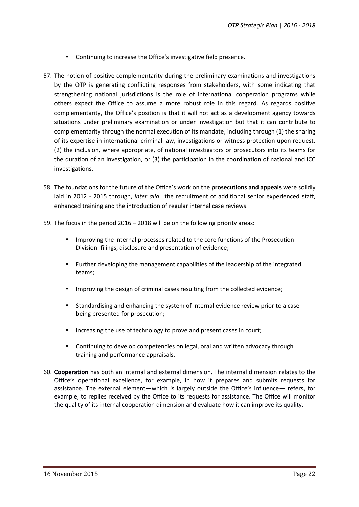- Continuing to increase the Office's investigative field presence.
- 57. The notion of positive complementarity during the preliminary examinations and investigations by the OTP is generating conflicting responses from stakeholders, with some indicating that strengthening national jurisdictions is the role of international cooperation programs while others expect the Office to assume a more robust role in this regard. As regards positive complementarity, the Office's position is that it will not act as a development agency towards situations under preliminary examination or under investigation but that it can contribute to complementarity through the normal execution of its mandate, including through (1) the sharing of its expertise in international criminal law, investigations or witness protection upon request, (2) the inclusion, where appropriate, of national investigators or prosecutors into its teams for the duration of an investigation, or (3) the participation in the coordination of national and ICC investigations.
- 58. The foundations for the future of the Office's work on the **prosecutions and appeals** were solidly laid in 2012 - 2015 through, *inter alia*, the recruitment of additional senior experienced staff, enhanced training and the introduction of regular internal case reviews.
- 59. The focus in the period 2016 2018 will be on the following priority areas:
	- Improving the internal processes related to the core functions of the Prosecution Division: filings, disclosure and presentation of evidence;
	- Further developing the management capabilities of the leadership of the integrated teams;
	- Improving the design of criminal cases resulting from the collected evidence;
	- Standardising and enhancing the system of internal evidence review prior to a case being presented for prosecution;
	- Increasing the use of technology to prove and present cases in court;
	- Continuing to develop competencies on legal, oral and written advocacy through training and performance appraisals.
- 60. **Cooperation** has both an internal and external dimension. The internal dimension relates to the Office's operational excellence, for example, in how it prepares and submits requests for assistance. The external element—which is largely outside the Office's influence— refers, for example, to replies received by the Office to its requests for assistance. The Office will monitor the quality of its internal cooperation dimension and evaluate how it can improve its quality.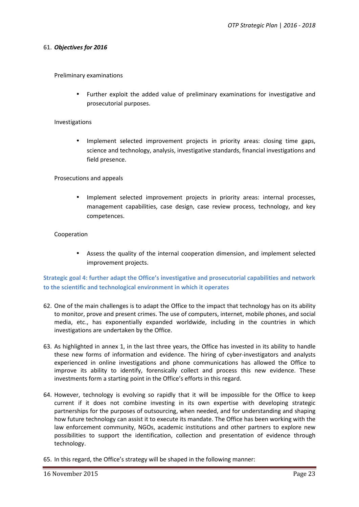#### 61. *Objectives for 2016*

Preliminary examinations

 Further exploit the added value of preliminary examinations for investigative and prosecutorial purposes.

#### Investigations

 Implement selected improvement projects in priority areas: closing time gaps, science and technology, analysis, investigative standards, financial investigations and field presence.

Prosecutions and appeals

 Implement selected improvement projects in priority areas: internal processes, management capabilities, case design, case review process, technology, and key competences.

#### Cooperation

 Assess the quality of the internal cooperation dimension, and implement selected improvement projects.

**Strategic goal 4: further adapt the Office's investigative and prosecutorial capabilities and network to the scientific and technological environment in which it operates**

- 62. One of the main challenges is to adapt the Office to the impact that technology has on its ability to monitor, prove and present crimes. The use of computers, internet, mobile phones, and social media, etc., has exponentially expanded worldwide, including in the countries in which investigations are undertaken by the Office.
- 63. As highlighted in annex 1, in the last three years, the Office has invested in its ability to handle these new forms of information and evidence. The hiring of cyber-investigators and analysts experienced in online investigations and phone communications has allowed the Office to improve its ability to identify, forensically collect and process this new evidence. These investments form a starting point in the Office's efforts in this regard.
- 64. However, technology is evolving so rapidly that it will be impossible for the Office to keep current if it does not combine investing in its own expertise with developing strategic partnerships for the purposes of outsourcing, when needed, and for understanding and shaping how future technology can assist it to execute its mandate. The Office has been working with the law enforcement community, NGOs, academic institutions and other partners to explore new possibilities to support the identification, collection and presentation of evidence through technology.
- 65. In this regard, the Office's strategy will be shaped in the following manner: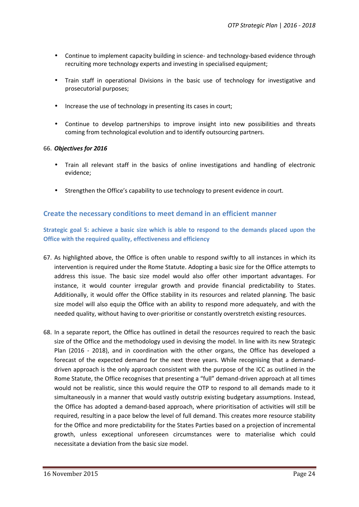- Continue to implement capacity building in science- and technology-based evidence through recruiting more technology experts and investing in specialised equipment;
- Train staff in operational Divisions in the basic use of technology for investigative and prosecutorial purposes;
- Increase the use of technology in presenting its cases in court;
- Continue to develop partnerships to improve insight into new possibilities and threats coming from technological evolution and to identify outsourcing partners.

#### 66. *Objectives for 2016*

- Train all relevant staff in the basics of online investigations and handling of electronic evidence;
- Strengthen the Office's capability to use technology to present evidence in court.

#### **Create the necessary conditions to meet demand in an efficient manner**

**Strategic goal 5: achieve a basic size which is able to respond to the demands placed upon the Office with the required quality, effectiveness and efficiency**

- 67. As highlighted above, the Office is often unable to respond swiftly to all instances in which its intervention is required under the Rome Statute. Adopting a basic size for the Office attempts to address this issue. The basic size model would also offer other important advantages. For instance, it would counter irregular growth and provide financial predictability to States. Additionally, it would offer the Office stability in its resources and related planning. The basic size model will also equip the Office with an ability to respond more adequately, and with the needed quality, without having to over-prioritise orconstantly overstretch existing resources.
- 68. In a separate report, the Office has outlined in detail the resources required to reach the basic size of the Office and the methodology used in devising the model. In line with its new Strategic Plan (2016 - 2018), and in coordination with the other organs, the Office has developed a forecast of the expected demand for the next three years. While recognising that a demand driven approach is the only approach consistent with the purpose of the ICC as outlined in the Rome Statute, the Office recognises that presenting a "full" demand-driven approach at all times would not be realistic, since this would require the OTP to respond to all demands made to it simultaneously in a manner that would vastly outstrip existing budgetary assumptions. Instead, the Office has adopted a demand-based approach, where prioritisation of activities will still be required, resulting in a pace below the level of full demand. This creates more resource stability for the Office and more predictability for the States Parties based on a projection of incremental growth, unless exceptional unforeseen circumstances were to materialise which could necessitate a deviation from the basic size model.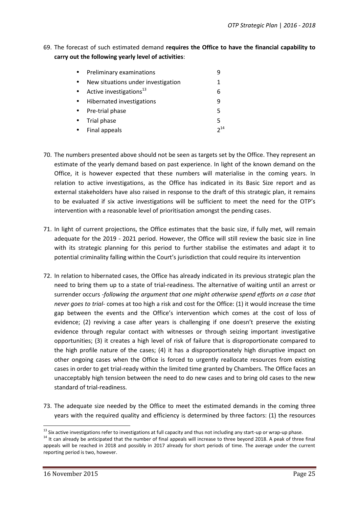69. The forecast of such estimated demand **requires the Office to have the financial capability to carry out the following yearly level of activities**:

| $\bullet$ | Preliminary examinations           |          |
|-----------|------------------------------------|----------|
| $\bullet$ | New situations under investigation |          |
|           | • Active investigations $^{13}$    | 6        |
|           | • Hibernated investigations        | q        |
|           | • Pre-trial phase                  | 5        |
|           | • Trial phase                      | 5        |
|           | • Final appeals                    | $2^{14}$ |

- 70. The numbers presented above should not be seen as targets set by the Office. They represent an estimate of the yearly demand based on past experience. In light of the known demand on the Office, it is however expected that these numbers will materialise in the coming years. In relation to active investigations, as the Office has indicated in its Basic Size report and as external stakeholders have also raised in response to the draft of this strategic plan, it remains to be evaluated if six active investigations will be sufficient to meet the need for the OTP's intervention with a reasonable level of prioritisation amongst the pending cases.
- 71. In light of current projections, the Office estimates that the basic size, if fully met, will remain adequate for the 2019 - 2021 period. However, the Office will still review the basic size in line with its strategic planning for this period to further stabilise the estimates and adapt it to potential criminality falling within the Court's jurisdiction that could require its intervention
- 72. In relation to hibernated cases, the Office has already indicated in its previous strategic plan the need to bring them up to a state of trial-readiness. The alternative of waiting until an arrest or surrender occurs -*following the argument that one might otherwise spend efforts on a case that never goes to trial*- comes at too high a risk and cost for the Office: (1) it would increase the time gap between the events and the Office's intervention which comes at the cost of loss of evidence; (2) reviving a case after years is challenging if one doesn't preserve the existing evidence through regular contact with witnesses or through seizing important investigative opportunities; (3) it creates a high level of risk of failure that is disproportionate compared to the high profile nature of the cases; (4) it has a disproportionately high disruptive impact on other ongoing cases when the Office is forced to urgently reallocate resources from existing cases in order to get trial-ready within the limited time granted by Chambers. The Office faces an unacceptably high tension between the need to do new cases and to bring old cases to the new standard of trial-readiness.
- 73. The adequate size needed by the Office to meet the estimated demands in the coming three years with the required quality and efficiency is determined by three factors: (1) the resources

 $^{13}$  Six active investigations refer to investigations at full capacity and thus not including any start-up or wrap-up phase.<br> $^{14}$  It can already be anticipated that the number of final appeals will increase to three

appeals will be reached in 2018 and possibly in 2017 already for short periods of time. The average under the current reporting period is two, however.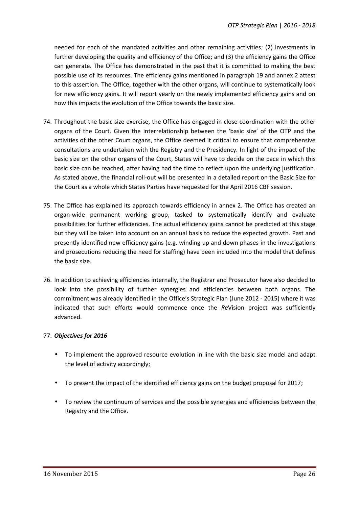needed for each of the mandated activities and other remaining activities; (2) investments in further developing the quality and efficiency of the Office; and (3) the efficiency gains the Office can generate. The Office has demonstrated in the past that it is committed to making the best possible use of its resources. The efficiency gains mentioned in paragraph 19 and annex 2 attest to this assertion. The Office, together with the other organs, will continue to systematically look for new efficiency gains. It will report yearly on the newly implemented efficiency gains and on how this impacts the evolution of the Office towards the basic size.

- 74. Throughout the basic size exercise, the Office has engaged in close coordination with the other organs of the Court. Given the interrelationship between the 'basic size' of the OTP and the activities of the other Court organs, the Office deemed it critical to ensure that comprehensive consultations are undertaken with the Registry and the Presidency. In light of the impact of the basic size on the other organs of the Court, States will have to decide on the pace in which this basic size can be reached, after having had the time to reflect upon the underlying justification. As stated above, the financial roll-out will be presented in a detailed report on the Basic Size for the Court as a whole which States Parties have requested for the April 2016 CBF session.
- 75. The Office has explained its approach towards efficiency in annex 2. The Office has created an organ-wide permanent working group, tasked to systematically identify and evaluate possibilities for further efficiencies. The actual efficiency gains cannot be predicted at this stage but they will be taken into account on an annual basis to reduce the expected growth. Past and presently identified new efficiency gains (e.g. winding up and down phases in the investigations and prosecutions reducing the need for staffing) have been included into the model that defines the basic size.
- 76. In addition to achieving efficiencies internally, the Registrar and Prosecutor have also decided to look into the possibility of further synergies and efficiencies between both organs. The commitment was already identified in the Office's Strategic Plan (June 2012 - 2015) where it was indicated that such efforts would commence once the *Re*Vision project was sufficiently advanced.

#### 77. *Objectives for 2016*

- To implement the approved resource evolution in line with the basic size model and adapt the level of activity accordingly;
- To present the impact of the identified efficiency gains on the budget proposal for 2017;
- To review the continuum of services and the possible synergies and efficiencies between the Registry and the Office.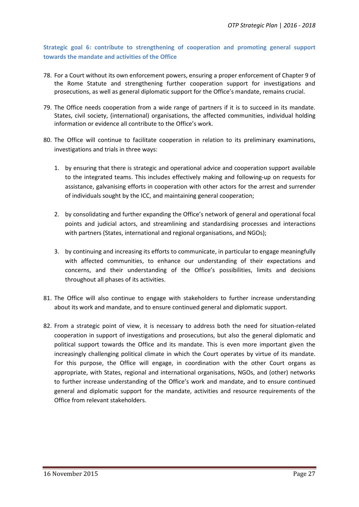**Strategic goal 6: contribute to strengthening of cooperation and promoting general support towards the mandate and activities of the Office**

- 78. For a Court without its own enforcement powers, ensuring a proper enforcement of Chapter 9 of the Rome Statute and strengthening further cooperation support for investigations and prosecutions, as well as general diplomatic support for the Office's mandate, remains crucial.
- 79. The Office needs cooperation from a wide range of partners if it is to succeed in its mandate. States, civil society, (international) organisations, the affected communities, individual holding information or evidence all contribute to the Office's work.
- 80. The Office will continue to facilitate cooperation in relation to its preliminary examinations, investigations and trials in three ways:
	- 1. by ensuring that there is strategic and operational advice and cooperation support available to the integrated teams. This includes effectively making and following-up on requests for assistance, galvanising efforts in cooperation with other actors for the arrest and surrender of individuals sought by the ICC, and maintaining general cooperation;
	- 2. by consolidating and further expanding the Office's network of general and operational focal points and judicial actors, and streamlining and standardising processes and interactions with partners (States, international and regional organisations, and NGOs);
	- 3. by continuing and increasing its efforts to communicate, in particular to engage meaningfully with affected communities, to enhance our understanding of their expectations and concerns, and their understanding of the Office's possibilities, limits and decisions throughout all phases of its activities.
- 81. The Office will also continue to engage with stakeholders to further increase understanding about its work and mandate, and to ensure continued general and diplomatic support.
- 82. From a strategic point of view, it is necessary to address both the need for situation-related cooperation in support of investigations and prosecutions, but also the general diplomatic and political support towards the Office and its mandate. This is even more important given the increasingly challenging political climate in which the Court operates by virtue of its mandate. For this purpose, the Office will engage, in coordination with the other Court organs as appropriate, with States, regional and international organisations, NGOs, and (other) networks to further increase understanding of the Office's work and mandate, and to ensure continued general and diplomatic support for the mandate, activities and resource requirements of the Office from relevant stakeholders.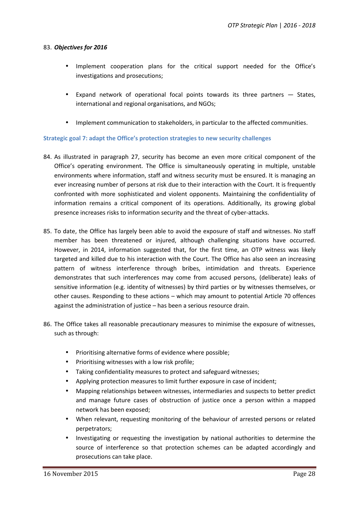#### 83. *Objectives for 2016*

- Implement cooperation plans for the critical support needed for the Office's investigations and prosecutions;
- Expand network of operational focal points towards its three partners States, international and regional organisations, and NGOs;
- Implement communication to stakeholders, in particular to the affected communities.

#### **Strategic goal 7: adapt the Office's protection strategies to new security challenges**

- 84. As illustrated in paragraph 27, security has become an even more critical component of the Office's operating environment. The Office is simultaneously operating in multiple, unstable environments where information, staff and witness security must be ensured. It is managing an ever increasing number of persons at risk due to their interaction with the Court. It is frequently confronted with more sophisticated and violent opponents. Maintaining the confidentiality of information remains a critical component of its operations. Additionally, its growing global presence increases risks to information security and the threat of cyber-attacks.
- 85. To date, the Office has largely been able to avoid the exposure of staff and witnesses. No staff member has been threatened or injured, although challenging situations have occurred. However, in 2014, information suggested that, for the first time, an OTP witness was likely targeted and killed due to his interaction with the Court. The Office has also seen an increasing pattern of witness interference through bribes, intimidation and threats. Experience demonstrates that such interferences may come from accused persons, (deliberate) leaks of sensitive information (e.g. identity of witnesses) by third parties or by witnesses themselves, or other causes. Responding to these actions – which may amount to potential Article 70 offences against the administration of justice – has been a serious resource drain.
- 86. The Office takes all reasonable precautionary measures to minimise the exposure of witnesses, such as through:
	- Prioritising alternative forms of evidence where possible;
	- Prioritising witnesses with a low risk profile;
	- Taking confidentiality measures to protect and safeguard witnesses;
	- Applying protection measures to limit further exposure in case of incident;
	- Mapping relationships between witnesses, intermediaries and suspects to better predict and manage future cases of obstruction of justice once a person within a mapped network has been exposed;
	- When relevant, requesting monitoring ofthe behaviour of arrested persons or related perpetrators;
	- Investigating or requesting the investigation by national authorities to determine the source of interference so that protection schemes can be adapted accordingly and prosecutions can take place.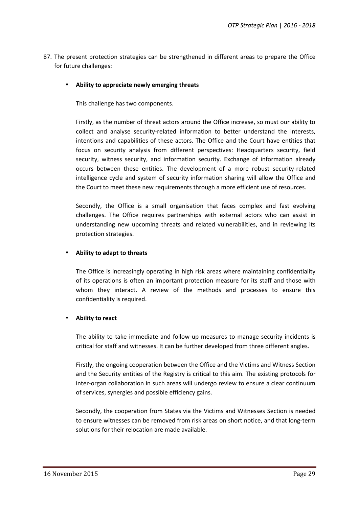- 87. The present protection strategies can be strengthened in different areas to prepare the Office for future challenges:
	- **Ability to appreciate newly emerging threats**

This challenge has two components.

Firstly, as the number of threat actors around the Office increase, so must our ability to collect and analyse security-related information to better understand the interests, intentions and capabilities of these actors. The Office and the Court have entities that focus on security analysis from different perspectives: Headquarters security, field security, witness security, and information security. Exchange of information already occurs between these entities. The development of a more robust security-related intelligence cycle and system of security information sharing will allow the Office and the Court to meet these new requirements through a more efficient use of resources.

Secondly, the Office is a small organisation that faces complex and fast evolving challenges. The Office requires partnerships with external actors who can assist in understanding new upcoming threats and related vulnerabilities, and in reviewing its protection strategies.

#### **Ability to adapt to threats**

The Office is increasingly operating in high risk areas where maintaining confidentiality of its operations is often an important protection measure for its staff and those with whom they interact. A review of the methods and processes to ensure this confidentiality is required.

#### **Ability to react**

The ability to take immediate and follow-up measures to manage security incidents is critical for staff and witnesses. It can be further developed from three different angles.

Firstly, the ongoing cooperation between the Office and the Victims and Witness Section and the Security entities of the Registry is critical to this aim. The existing protocols for inter-organ collaboration in such areas will undergo review to ensure a clear continuum of services, synergies and possible efficiency gains.

Secondly, the cooperation from States via the Victims and Witnesses Section is needed to ensure witnesses can be removed from risk areas on short notice, and that long-term solutions for their relocation are made available.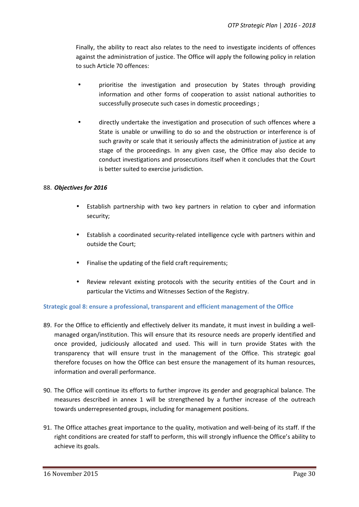Finally, the ability to react also relates to the need to investigate incidents of offences against the administration of justice. The Office will apply the following policy in relation to such Article 70 offences:

- prioritise the investigation and prosecution by States through providing information and other forms of cooperation to assist national authorities to successfully prosecute such cases in domestic proceedings ;
- directly undertake the investigation and prosecution of such offences where a State is unable or unwilling to do so and the obstruction or interference is of such gravity or scale that it seriously affects the administration of justice at any stage of the proceedings. In any given case, the Office may also decide to conduct investigations and prosecutions itself when it concludes that the Court is better suited to exercise jurisdiction.

#### 88. *Objectives for 2016*

- Establish partnership with two key partners in relation to cyber and information security;
- Establish a coordinated security-related intelligence cycle with partners within and outside the Court;
- Finalise the updating of the field craft requirements;
- Review relevant existing protocols with the security entities of the Court and in particular the Victims and Witnesses Section of the Registry.

#### **Strategic goal 8: ensure a professional, transparent and efficient management of the Office**

- 89. For the Office to efficiently and effectively deliver its mandate, it must invest in building a well managed organ/institution. This will ensure that its resource needs are properly identified and once provided, judiciously allocated and used. This will in turn provide States with the transparency that will ensure trust in the management of the Office. This strategic goal therefore focuses on how the Office can best ensure the management of its human resources, information and overall performance.
- 90. The Office will continue its efforts to further improve its gender and geographical balance. The measures described in annex 1 will be strengthened by a further increase of the outreach towards underrepresented groups, including for management positions.
- 91. The Office attaches great importance to the quality, motivation and well-being of its staff. If the right conditions are created for staff to perform, this will strongly influence the Office's ability to achieve its goals.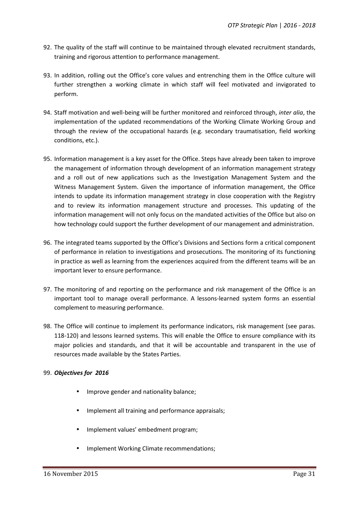- 92. The quality of the staff will continue to be maintained through elevated recruitment standards, training and rigorous attention to performance management.
- 93. In addition, rolling out the Office's core values and entrenching them in the Office culture will further strengthen a working climate in which staff will feel motivated and invigorated to perform.
- 94. Staff motivation and well-being will be further monitored and reinforced through, *inter alia*, the implementation of the updated recommendations of the Working Climate Working Group and through the review of the occupational hazards (e.g. secondary traumatisation, field working conditions, etc.).
- 95. Information management is a key asset for the Office. Steps have already been taken to improve the management of information through development of an information management strategy and a roll out of new applications such as the Investigation Management System and the Witness Management System. Given the importance of information management, the Office intends to update its information management strategy in close cooperation with the Registry and to review its information management structure and processes. This updating of the information management will not only focus on the mandated activities of the Office but also on how technology could support the further development of our management and administration.
- 96. The integrated teams supported by the Office's Divisions and Sections form a critical component of performance in relation to investigations and prosecutions. The monitoring of its functioning in practice as well as learning from the experiences acquired from the different teams will be an important lever to ensure performance.
- 97. The monitoring of and reporting on the performance and risk management of the Office is an important tool to manage overall performance. A lessons-learned system forms an essential complement to measuring performance.
- 98. The Office will continue to implement its performance indicators, risk management (see paras. 118-120) and lessons learned systems. This will enable the Office to ensure compliance with its major policies and standards, and that it will be accountable and transparent in the use of resources made available by the States Parties.

#### 99. *Objectives for 2016*

- Improve gender and nationality balance;
- Implement all training and performance appraisals;
- Implement values' embedment program;
- Implement Working Climate recommendations;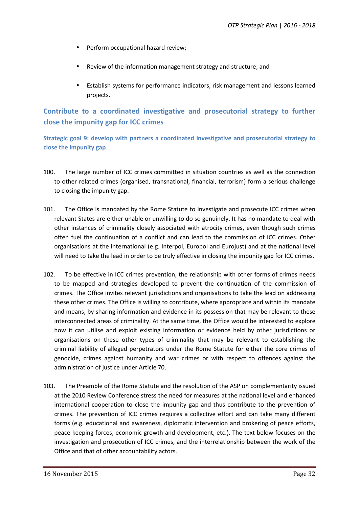- Perform occupational hazard review;
- Review of the information management strategy and structure; and
- Establish systems for performance indicators, risk management and lessons learned projects.

# **Contribute to a coordinated investigative and prosecutorial strategy to further close the impunity gap for ICC crimes**

**Strategic goal 9: develop with partners a coordinated investigative and prosecutorial strategy to close the impunity gap**

- 100. The large number of ICC crimes committed in situation countries as well as the connection to other related crimes (organised, transnational, financial, terrorism) form a serious challenge to closing the impunity gap.
- 101. The Office is mandated by the Rome Statute to investigate and prosecute ICC crimes when relevant States are either unable or unwilling to do so genuinely. It has no mandate to deal with other instances of criminality closely associated with atrocity crimes, even though such crimes often fuel the continuation of a conflict and can lead to the commission of ICC crimes. Other organisations at the international (e.g. Interpol, Europol and Eurojust) and at the national level will need to take the lead in order to be truly effective in closing the impunity gap for ICC crimes.
- 102. To be effective in ICC crimes prevention, the relationship with other forms of crimes needs to be mapped and strategies developed to prevent the continuation of the commission of crimes. The Office invites relevant jurisdictions and organisations to take the lead on addressing these other crimes. The Office is willing to contribute, where appropriate and within its mandate and means, by sharing information and evidence in its possession that may be relevant to these interconnected areas of criminality. At the same time, the Office would be interested to explore how it can utilise and exploit existing information or evidence held by other jurisdictions or organisations on these other types of criminality that may be relevant to establishing the criminal liability of alleged perpetrators under the Rome Statute for either the core crimes of genocide, crimes against humanity and war crimes or with respect to offences against the administration of justice under Article 70.
- 103. The Preamble of the Rome Statute and the resolution of the ASP on complementarity issued at the 2010 Review Conference stress the need for measures at the national level and enhanced international cooperation to close the impunity gap and thus contribute to the prevention of crimes. The prevention of ICC crimes requires a collective effort and can take many different forms (e.g. educational and awareness, diplomatic intervention and brokering of peace efforts, peace keeping forces, economic growth and development, etc.). The text below focuses on the investigation and prosecution of ICC crimes, and the interrelationship between the work of the Office and that of other accountability actors.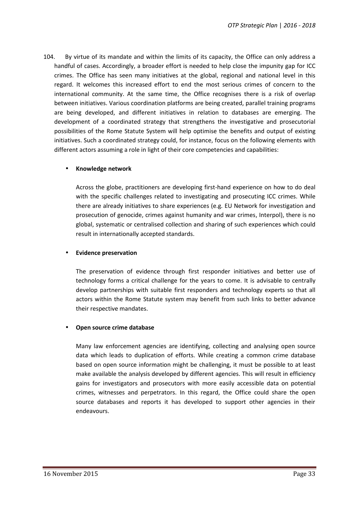104. By virtue of its mandate and within the limits of its capacity, the Office can only address a handful of cases. Accordingly, a broader effort is needed to help close the impunity gap for ICC crimes. The Office has seen many initiatives at the global, regional and national level in this regard. It welcomes this increased effort to end the most serious crimes of concern to the international community. At the same time, the Office recognises there is a risk of overlap between initiatives. Various coordination platforms are being created, parallel training programs are being developed, and different initiatives in relation to databases are emerging. The development of a coordinated strategy that strengthens the investigative and prosecutorial possibilities of the Rome Statute System will help optimise the benefits and output of existing initiatives. Such a coordinated strategy could, for instance, focus on the following elements with different actors assuming a role in light of their core competencies and capabilities:

#### **Knowledge network**

Across the globe, practitioners are developing first-hand experience on how to do deal with the specific challenges related to investigating and prosecuting ICC crimes. While there are already initiatives to share experiences (e.g. EU Network for investigation and prosecution of genocide, crimes against humanity and war crimes, Interpol), there is no global, systematic or centralised collection and sharing of such experiences which could result in internationally accepted standards.

#### **Evidence preservation**

The preservation of evidence through first responder initiatives and better use of technology forms a critical challenge for the years to come. It is advisable to centrally develop partnerships with suitable first responders and technology experts so that all actors within the Rome Statute system may benefit from such links to better advance their respective mandates.

#### **Open source crime database**

Many law enforcement agencies are identifying, collecting and analysing open source data which leads to duplication of efforts. While creating a common crime database based on open source information might be challenging, it must be possible to at least make available the analysis developed by different agencies. This will result in efficiency gains for investigators and prosecutors with more easily accessible data on potential crimes, witnesses and perpetrators. In this regard, the Office could share the open source databases and reports it has developed to support other agencies in their endeavours.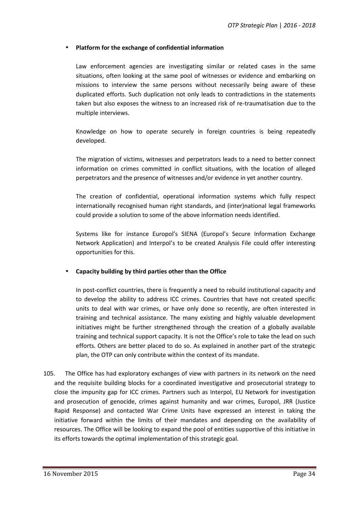#### **Platform for the exchange of confidential information**

Law enforcement agencies are investigating similar or related cases in the same situations, often looking at the same pool of witnesses or evidence and embarking on missions to interview the same persons without necessarily being aware of these duplicated efforts. Such duplication not only leads to contradictions in the statements taken but also exposes the witness to an increased risk of re-traumatisation due to the multiple interviews.

Knowledge on how to operate securely in foreign countries is being repeatedly developed.

The migration of victims, witnesses and perpetrators leads to a need to better connect information on crimes committed in conflict situations, with the location of alleged perpetrators and the presence of witnesses and/or evidence in yet another country.

The creation of confidential, operational information systems which fully respect internationally recognised human right standards, and (inter)national legal frameworks could provide a solution to some of the above information needs identified.

Systems like for instance Europol's SIENA (Europol's Secure Information Exchange Network Application) and Interpol's to be created Analysis File could offer interesting opportunities for this.

#### **Capacity building by third parties other than the Office**

In post-conflict countries, there is frequently a need to rebuild institutional capacity and to develop the ability to address ICC crimes. Countries that have not created specific units to deal with war crimes, or have only done so recently, are often interested in training and technical assistance. The many existing and highly valuable development initiatives might be further strengthened through the creation of a globally available training and technical support capacity. It is not the Office's role to take the lead on such efforts. Others are better placed to do so. As explained in another part of the strategic plan, the OTP can only contribute within the context of its mandate.

105. The Office has had exploratory exchanges of view with partners in its network on the need and the requisite building blocks for a coordinated investigative and prosecutorial strategy to close the impunity gap for ICC crimes. Partners such as Interpol, EU Network for investigation and prosecution of genocide, crimes against humanity and war crimes, Europol, JRR (Justice Rapid Response) and contacted War Crime Units have expressed an interest in taking the initiative forward within the limits of their mandates and depending on the availability of resources. The Office will be looking to expand the pool of entities supportive of this initiative in its efforts towards the optimal implementation of this strategic goal.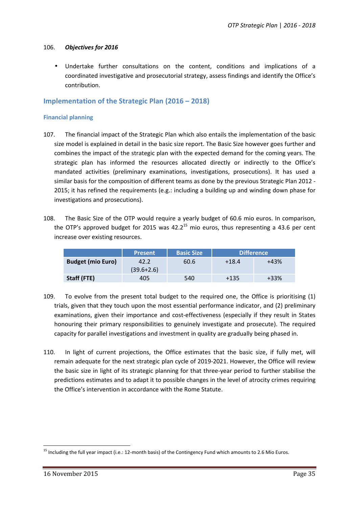#### 106. *Objectives for 2016*

 Undertake further consultations on the content, conditions and implications of a coordinated investigative and prosecutorial strategy, assess findings and identify the Office's contribution.

#### **Implementation of the Strategic Plan (2016 – 2018)**

#### **Financial planning**

- 107. The financial impact of the Strategic Plan which also entails the implementation of the basic size model is explained in detail in the basic size report. The Basic Size however goes further and combines the impact of the strategic plan with the expected demand for the coming years. The strategic plan has informed the resources allocated directly or indirectly to the Office's mandated activities (preliminary examinations, investigations, prosecutions). It has used a similar basis for the composition of different teams as done by the previous Strategic Plan 2012 - 2015; it has refined the requirements (e.g.: including a building up and winding down phase for investigations and prosecutions).
- 108. The Basic Size of the OTP would require a yearly budget of 60.6 mio euros. In comparison, the OTP's approved budget for 2015 was  $42.2^{15}$  mio euros, thus representing a 43.6 per cent increase over existing resources.

|                          | <b>Present</b> | <b>Basic Size</b> |         | <b>Difference</b> |
|--------------------------|----------------|-------------------|---------|-------------------|
| <b>Budget (mio Euro)</b> | 42.2           | 60.6              | $+18.4$ | $+43%$            |
|                          | $(39.6+2.6)$   |                   |         |                   |
| Staff (FTE)              | 405            | 540               | +135    | +33%              |

- 109. To evolve from the present total budget to the required one, the Office is prioritising (1) trials, given that they touch upon the most essential performance indicator, and (2) preliminary examinations, given their importance and cost-effectiveness (especially if they result in States honouring their primary responsibilities to genuinely investigate and prosecute). The required capacity for parallel investigations and investment in quality are gradually being phased in.
- 110. In light of current projections, the Office estimates that the basic size, if fully met, will remain adequate for the next strategic plan cycle of 2019-2021. However, the Office will review the basic size in light of its strategic planning for that three-year period to further stabilise the predictions estimates and to adapt it to possible changes in the level of atrocity crimes requiring the Office's intervention in accordance with the Rome Statute.

<sup>&</sup>lt;sup>15</sup> Including the full year impact (i.e.: 12-month basis) of the Contingency Fund which amounts to 2.6 Mio Euros.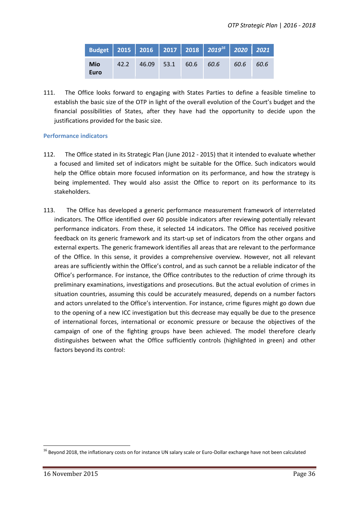|                    |                           |  | Budget 2015 2016 2017 2018 2019 <sup>16</sup> 2020 2021 |      |      |
|--------------------|---------------------------|--|---------------------------------------------------------|------|------|
| <b>Mio</b><br>Euro | 42.2 46.09 53.1 60.6 60.6 |  |                                                         | 60.6 | 60.6 |

111. The Office looks forward to engaging with States Parties to define a feasible timeline to establish the basic size of the OTP in light of the overall evolution of the Court's budget and the financial possibilities of States, after they have had the opportunity to decide upon the justifications provided for the basic size.

#### **Performance indicators**

- 112. The Office stated in its Strategic Plan (June 2012 2015) that it intended to evaluate whether a focused and limited set of indicators might be suitable for the Office. Such indicators would help the Office obtain more focused information on its performance, and how the strategy is being implemented. They would also assist the Office to report on its performance to its stakeholders.
- 113. The Office has developed a generic performance measurement framework of interrelated indicators. The Office identified over 60 possible indicators after reviewing potentially relevant performance indicators. From these, it selected 14 indicators. The Office has received positive feedback on its generic framework and its start-up set of indicators from the other organs and external experts. The generic framework identifies all areas that are relevant to the performance of the Office. In this sense, it provides a comprehensive overview. However, not all relevant areas are sufficiently within the Office's control, and as such cannot be a reliable indicator of the Office's performance. For instance, the Office contributes to the reduction of crime through its preliminary examinations, investigations and prosecutions. But the actual evolution of crimes in situation countries, assuming this could be accurately measured, depends on a number factors and actors unrelated to the Office's intervention. For instance, crime figures might go down due to the opening of a new ICC investigation but this decrease may equally be due to the presence of international forces, international or economic pressure or because the objectives of the campaign of one of the fighting groups have been achieved. The model therefore clearly distinguishes between what the Office sufficiently controls (highlighted in green) and other factors beyond its control:

<sup>&</sup>lt;sup>16</sup> Beyond 2018, the inflationary costs on for instance UN salary scale or Euro-Dollar exchange have not been calculated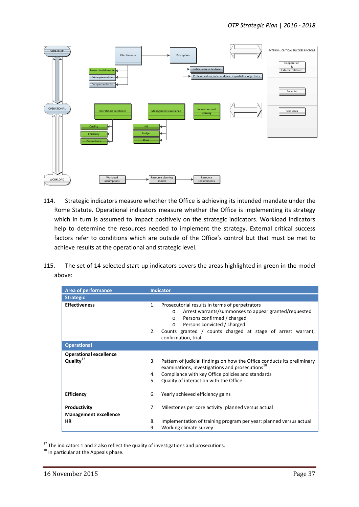

- 114. Strategic indicators measure whether the Office is achieving its intended mandate under the Rome Statute. Operational indicators measure whether the Office is implementing its strategy which in turn is assumed to impact positively on the strategic indicators. Workload indicators help to determine the resources needed to implement the strategy. External critical success factors refer to conditions which are outside of the Office's control but that must be met to achieve results at the operational and strategic level.
- 115. The set of 14 selected start-up indicators covers the areas highlighted in green in the model above:

| <b>Area of performance</b><br><b>Strategic</b>         |                | Indicator                                                                                                                                                                                                                                                                                     |
|--------------------------------------------------------|----------------|-----------------------------------------------------------------------------------------------------------------------------------------------------------------------------------------------------------------------------------------------------------------------------------------------|
| <b>Effectiveness</b>                                   | 1.<br>2.       | Prosecutorial results in terms of perpetrators<br>Arrest warrants/summonses to appear granted/requested<br>$\Omega$<br>Persons confirmed / charged<br>$\circ$<br>Persons convicted / charged<br>$\circ$<br>Counts granted / counts charged at stage of arrest warrant,<br>confirmation, trial |
| <b>Operational</b>                                     |                |                                                                                                                                                                                                                                                                                               |
| <b>Operational excellence</b><br>Quality <sup>17</sup> | 3.<br>4.<br>5. | Pattern of judicial findings on how the Office conducts its preliminary<br>examinations, investigations and prosecutions <sup>18</sup><br>Compliance with key Office policies and standards<br>Quality of interaction with the Office                                                         |
| <b>Efficiency</b>                                      | 6.             | Yearly achieved efficiency gains                                                                                                                                                                                                                                                              |
| Productivity                                           | 7.             | Milestones per core activity: planned versus actual                                                                                                                                                                                                                                           |
| <b>Management excellence</b>                           |                |                                                                                                                                                                                                                                                                                               |
| <b>HR</b>                                              | 8.             | Implementation of training program per year: planned versus actual                                                                                                                                                                                                                            |
|                                                        | 9.             | Working climate survey                                                                                                                                                                                                                                                                        |

<sup>&</sup>lt;sup>17</sup> The indicators 1 and 2 also reflect the quality of investigations and prosecutions.<br><sup>18</sup> In particular at the Appeals phase.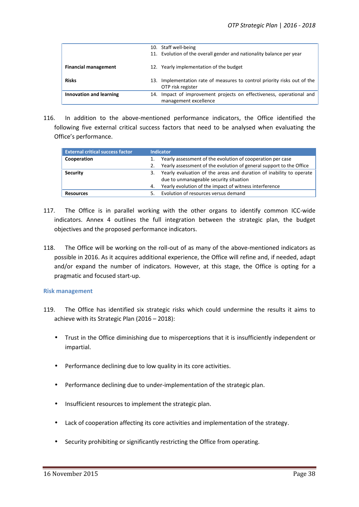|                             | 10. Staff well-being<br>11. Evolution of the overall gender and nationality balance per year  |
|-----------------------------|-----------------------------------------------------------------------------------------------|
| <b>Financial management</b> | 12. Yearly implementation of the budget                                                       |
| <b>Risks</b>                | 13. Implementation rate of measures to control priority risks out of the<br>OTP risk register |
| Innovation and learning     | 14. Impact of improvement projects on effectiveness, operational and                          |
|                             | management excellence                                                                         |

116. In addition to the above-mentioned performance indicators, the Office identified the following five external critical success factors that need to be analysed when evaluating the Office's performance.

| <b>External critical success factor</b> |                                                                           | <b>Indicator</b>                                                    |
|-----------------------------------------|---------------------------------------------------------------------------|---------------------------------------------------------------------|
| Cooperation                             | Yearly assessment of the evolution of cooperation per case                |                                                                     |
|                                         | 2.                                                                        | Yearly assessment of the evolution of general support to the Office |
| <b>Security</b>                         | Yearly evaluation of the areas and duration of inability to operate<br>З. |                                                                     |
|                                         |                                                                           | due to unmanageable security situation                              |
|                                         | 4.                                                                        | Yearly evolution of the impact of witness interference              |
| <b>Resources</b>                        |                                                                           | Evolution of resources versus demand                                |

- 117. The Office is in parallel working with the other organs to identify common ICC-wide indicators. Annex 4 outlines the full integration between the strategic plan, the budget objectives and the proposed performance indicators.
- 118. The Office will be working on the roll-out of as many of the above-mentioned indicators as possible in 2016. As it acquires additional experience, the Office will refine and, if needed, adapt and/or expand the number of indicators. However, at this stage, the Office is opting for a pragmatic and focused start-up.

#### **Risk management**

- 119. The Office has identified six strategic risks which could undermine the results it aims to achieve with its Strategic Plan (2016 – 2018):
	- Trust in the Office diminishing due to misperceptions that it is insufficiently independent or impartial.
	- Performance declining due to low quality in its core activities.
	- Performance declining due to under-implementation of the strategic plan.
	- Insufficient resources to implement the strategic plan.
	- Lack of cooperation affecting its core activities and implementation of the strategy.
	- Security prohibiting or significantly restricting the Office from operating.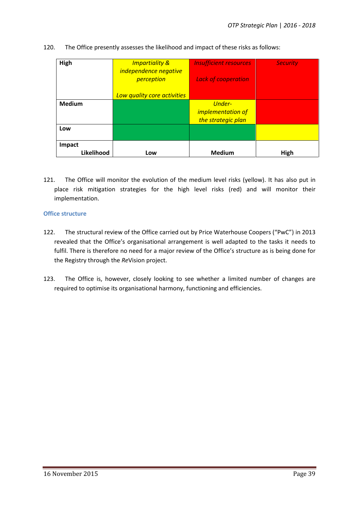| High          | <b>Impartiality &amp;</b><br>independence negative<br>perception | <b>Insufficient resources</b><br><b>Lack of cooperation</b> | <b>Security</b> |
|---------------|------------------------------------------------------------------|-------------------------------------------------------------|-----------------|
|               | Low quality core activities                                      |                                                             |                 |
| <b>Medium</b> |                                                                  | <b>Under-</b>                                               |                 |
|               |                                                                  | <i>implementation of</i>                                    |                 |
|               |                                                                  | the strategic plan                                          |                 |
| Low           |                                                                  |                                                             |                 |
| Impact        |                                                                  |                                                             |                 |
| Likelihood    | Low                                                              | <b>Medium</b>                                               | High            |

#### 120. The Office presently assesses the likelihood and impact of these risks as follows:

121. The Office will monitor the evolution of the medium level risks (yellow). It has also put in place risk mitigation strategies for the high level risks (red) and will monitor their implementation.

#### **Office structure**

- 122. The structural review of the Office carried out by Price Waterhouse Coopers ("PwC") in 2013 revealed that the Office's organisational arrangement is well adapted to the tasks it needs to fulfil. There is therefore no need for a major review of the Office's structure as is being done for the Registry through the *Re*Vision project.
- 123. The Office is, however, closely looking to see whether a limited number of changes are required to optimise its organisational harmony, functioning and efficiencies.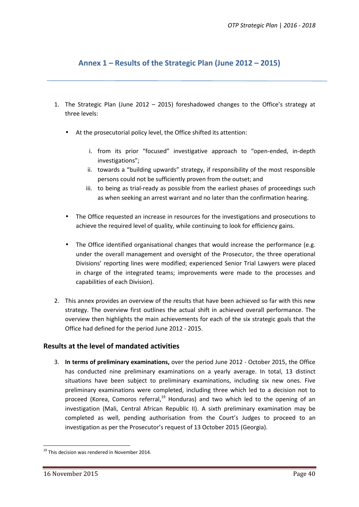# **Annex 1 – Results of the Strategic Plan (June 2012 – 2015)**

- 1. The Strategic Plan (June 2012 2015) foreshadowed changes to the Office's strategy at three levels:
	- At the prosecutorial policy level, the Office shifted its attention:
		- i. from its prior "focused" investigative approach to "open-ended, in-depth investigations";
		- ii. towards a "building upwards" strategy, if responsibility of the most responsible persons could not be sufficiently proven from the outset; and
		- iii. to being as trial-ready as possible from the earliest phases of proceedings such as when seeking an arrest warrant and no later than the confirmation hearing.
	- The Office requested an increase in resources for the investigations and prosecutions to achieve the required level of quality, while continuing to look for efficiency gains.
	- The Office identified organisational changes that would increase the performance (e.g. under the overall management and oversight of the Prosecutor, the three operational Divisions' reporting lines were modified; experienced Senior Trial Lawyers were placed in charge of the integrated teams; improvements were made to the processes and capabilities of each Division).
- 2. This annex provides an overview of the results that have been achieved so far with this new strategy. The overview first outlines the actual shift in achieved overall performance. The overview then highlights the main achievements for each of the six strategic goals that the Office had defined for the period June 2012 - 2015.

#### **Results at the level of mandated activities**

3. **In terms of preliminary examinations,** over the period June 2012 - October 2015, the Office has conducted nine preliminary examinations on a yearly average. In total, 13 distinct situations have been subject to preliminary examinations, including six new ones. Five preliminary examinations were completed, including three which led to a decision not to proceed (Korea, Comoros referral, $19$  Honduras) and two which led to the opening of an investigation (Mali, Central African Republic II). A sixth preliminary examination may be completed as well, pending authorisation from the Court's Judges to proceed to an investigation as per the Prosecutor's request of 13 October 2015 (Georgia).

 $19$  This decision was rendered in November 2014.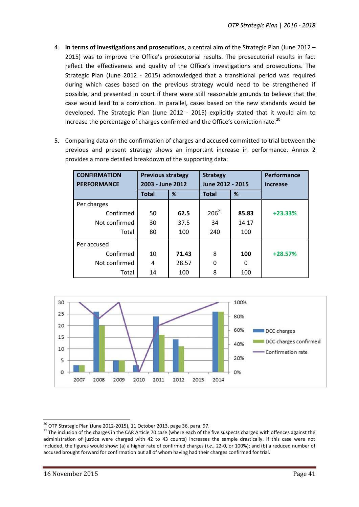- 4. **In terms of investigations and prosecutions**, a central aim of the Strategic Plan (June 2012 2015) was to improve the Office's prosecutorial results. The prosecutorial results in fact reflect the effectiveness and quality of the Office's investigations and prosecutions. The Strategic Plan (June 2012 - 2015) acknowledged that a transitional period was required during which cases based on the previous strategy would need to be strengthened if possible, and presented in court if there were still reasonable grounds to believe that the case would lead to a conviction. In parallel, cases based on the new standards would be developed. The Strategic Plan (June 2012 - 2015) explicitly stated that it would aim to increase the percentage of charges confirmed and the Office's conviction rate.<sup>20</sup>
- 5. Comparing data on the confirmation of charges and accused committed to trial between the previous and present strategy shows an important increase in performance. Annex 2 provides a more detailed breakdown of the supporting data:

| <b>CONFIRMATION</b> | <b>Previous strategy</b> |       | <b>Strategy</b>  |       | Performance |
|---------------------|--------------------------|-------|------------------|-------|-------------|
| <b>PERFORMANCE</b>  | 2003 - June 2012         |       | June 2012 - 2015 |       | increase    |
|                     | Total                    | %     | <b>Total</b>     | %     |             |
| Per charges         |                          |       |                  |       |             |
| Confirmed           | 50                       | 62.5  | $206^{21}$       | 85.83 | $+23.33%$   |
| Not confirmed       | 30                       | 37.5  | 34               | 14.17 |             |
| Total               | 80                       | 100   | 240              | 100   |             |
| Per accused         |                          |       |                  |       |             |
| Confirmed           | 10                       | 71.43 | 8                | 100   | $+28.57%$   |
| Not confirmed       | 4                        | 28.57 | 0                | 0     |             |
| Total               | 14                       | 100   | 8                | 100   |             |



<sup>&</sup>lt;sup>20</sup> OTP Strategic Plan (June 2012-2015), 11 October 2013, page 36, para. 97.<br><sup>21</sup> The inclusion of the charges in the CAR Article 70 case (where each of the five suspects charged with offences against the administration of justice were charged with 42 to 43 counts) increases the sample drastically. If this case were not included, the figures would show: (a) a higher rate of confirmed charges (*i.e.*, 22-0, or 100%); and (b) a reduced number of accused brought forward for confirmation but all of whom having had their charges confirmed for trial.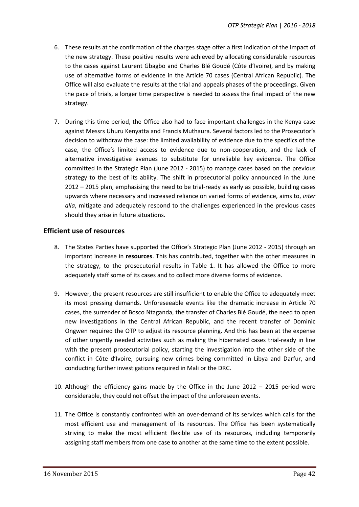- 6. These results at the confirmation of the charges stage offer a first indication of the impact of the new strategy. These positive results were achieved by allocating considerable resources to the cases against Laurent Gbagbo and Charles Blé Goudé (Côte d'Ivoire), and by making use of alternative forms of evidence in the Article 70 cases (Central African Republic). The Office will also evaluate the results at the trial and appeals phases of the proceedings. Given the pace of trials, a longer time perspective is needed to assess the final impact of the new strategy.
- 7. During this time period, the Office also had to face important challenges in the Kenya case against Messrs Uhuru Kenyatta and Francis Muthaura. Several factors led to the Prosecutor's decision to withdraw the case: the limited availability of evidence due to the specifics of the case, the Office's limited access to evidence due to non-cooperation, and the lack of alternative investigative avenues to substitute for unreliable key evidence. The Office committed in the Strategic Plan (June 2012 - 2015) to manage cases based on the previous strategy to the best of its ability. The shift in prosecutorial policy announced in the June 2012 – 2015 plan, emphasising the need to be trial-ready as early as possible, building cases upwards where necessary and increased reliance on varied forms of evidence, aims to, *inter alia*, mitigate and adequately respond to the challenges experienced in the previous cases should they arise in future situations.

### **Efficient use of resources**

- 8. The States Parties have supported the Office's Strategic Plan (June 2012 2015) through an important increase in **resources**. This has contributed, together with the other measures in the strategy, to the prosecutorial results in Table 1. It has allowed the Office to more adequately staff some of its cases and to collect more diverse forms of evidence.
- 9. However, the present resources are still insufficient to enable the Office to adequately meet its most pressing demands. Unforeseeable events like the dramatic increase in Article 70 cases, the surrender of Bosco Ntaganda, the transfer of Charles Blé Goudé, the need to open new investigations in the Central African Republic, and the recent transfer of Dominic Ongwen required the OTP to adjust its resource planning. And this has been at the expense of other urgently needed activities such as making the hibernated cases trial-ready in line with the present prosecutorial policy, starting the investigation into the other side of the conflict in Côte d'Ivoire, pursuing new crimes being committed in Libya and Darfur, and conducting further investigations required in Mali or the DRC.
- 10. Although the efficiency gains made by the Office in the June 2012 2015 period were considerable, they could not offset the impact of the unforeseen events.
- 11. The Office is constantly confronted with an over-demand of its services which calls for the most efficient use and management of its resources. The Office has been systematically striving to make the most efficient flexible use of its resources, including temporarily assigning staff members from one case to another at the same time to the extent possible.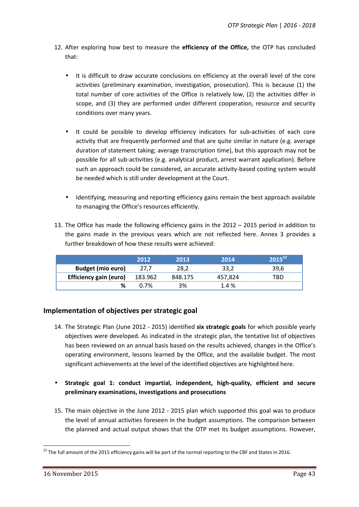- 12. After exploring how best to measure the **efficiency of the Office,** the OTP has concluded that:
	- It is difficult to draw accurate conclusions on efficiency at the overall level of the core activities (preliminary examination, investigation, prosecution). This is because (1) the total number of core activities of the Office is relatively low, (2) the activities differ in scope, and (3) they are performed under different cooperation, resource and security conditions over many years.
	- It could be possible to develop efficiency indicators for sub-activities of each core activity that are frequently performed and that are quite similar in nature (e.g. average duration of statement taking; average transcription time), but this approach may not be possible for all sub-activities (e.g. analytical product, arrest warrant application). Before such an approach could be considered, an accurate activity-based costing system would be needed which is still under development at the Court.
	- Identifying, measuring and reporting efficiency gains remain the best approach available to managing the Office's resources efficiently.
- 13. The Office has made the following efficiency gains in the 2012 2015 period in addition to the gains made in the previous years which are not reflected here. Annex 3 provides a further breakdown of how these results were achieved:

|                          | 2012    | 2013    | 2014    | $2015^{22}$ |
|--------------------------|---------|---------|---------|-------------|
| <b>Budget (mio euro)</b> | 27,7    | 28,2    | 33,2    | 39.6        |
| Efficiency gain (euro)   | 183.962 | 848.175 | 457.824 | TRD         |
|                          | 0.7%    | 3%      | 1.4 %   |             |

## **Implementation of objectives per strategic goal**

- 14. The Strategic Plan (June 2012 2015) identified **six strategic goals** for which possible yearly objectives were developed. As indicated in the strategic plan, the tentative list of objectives has been reviewed on an annual basis based on the results achieved, changes in the Office's operating environment, lessons learned by the Office, and the available budget. The most significant achievements at the level of the identified objectives are highlighted here.
- **Strategic goal 1: conduct impartial, independent, high-quality, efficient and secure preliminary examinations, investigations and prosecutions**
- 15. The main objective in the June 2012 2015 plan which supported this goal was to produce the level of annual activities foreseen in the budget assumptions. The comparison between the planned and actual output shows that the OTP met its budget assumptions. However,

<sup>&</sup>lt;sup>22</sup> The full amount of the 2015 efficiency gains will be part of the normal reporting to the CBF and States in 2016.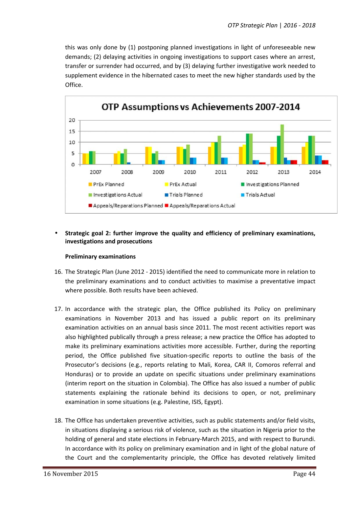this was only done by (1) postponing planned investigations in light of unforeseeable new demands; (2) delaying activities in ongoing investigations to support cases where an arrest, transfer or surrender had occurred, and by (3) delaying further investigative work needed to supplement evidence in the hibernated cases to meet the new higher standards used by the Office.



#### **Strategic goal 2: further improve the quality and efficiency of preliminary examinations, investigations and prosecutions**

#### **Preliminary examinations**

- 16. The Strategic Plan (June 2012 2015) identified the need to communicate more in relation to the preliminary examinations and to conduct activities to maximise a preventative impact where possible. Both results have been achieved.
- 17. In accordance with the strategic plan, the Office published its Policy on preliminary examinations in November 2013 and has issued a public report on its preliminary examination activities on an annual basis since 2011. The most recent activities report was also highlighted publically through a press release; a new practice the Office has adopted to make its preliminary examinations activities more accessible. Further, during the reporting period, the Office published five situation-specific reports to outline the basis of the Prosecutor's decisions (e.g., reports relating to Mali, Korea, CAR II, Comoros referral and Honduras) or to provide an update on specific situations under preliminary examinations (interim report on the situation in Colombia). The Office has also issued a number of public statements explaining the rationale behind its decisions to open, or not, preliminary examination in some situations (e.g. Palestine, ISIS, Egypt).
- 18. The Office has undertaken preventive activities, such as public statements and/or field visits, in situations displaying a serious risk of violence, such as the situation in Nigeria prior to the holding of general and state elections in February-March 2015, and with respect to Burundi. In accordance with its policy on preliminary examination and in light of the global nature of the Court and the complementarity principle, the Office has devoted relatively limited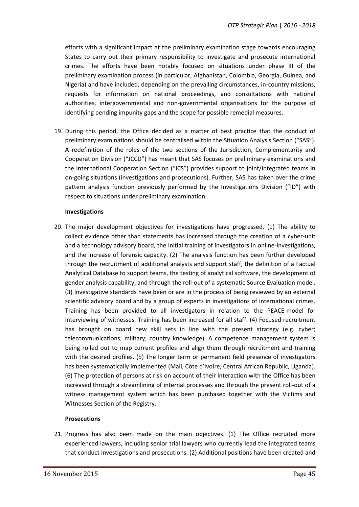efforts with a significant impact at the preliminary examination stage towards encouraging States to carry out their primary responsibility to investigate and prosecute international crimes. The efforts have been notably focused on situations under phase III of the preliminary examination process (in particular, Afghanistan, Colombia, Georgia, Guinea, and Nigeria) and have included, depending on the prevailing circumstances, in-country missions, requests for information on national proceedings, and consultations with national authorities, intergovernmental and non-governmental organisations for the purpose of identifying pending impunity gaps and the scope for possible remedial measures.

19. During this period, the Office decided as a matter of best practice that the conduct of preliminary examinations should be centralised within the Situation Analysis Section ("SAS"). A redefinition of the roles of the two sections of the Jurisdiction, Complementarity and Cooperation Division ("JCCD") has meant that SAS focuses on preliminary examinations and the International Cooperation Section ("ICS") provides support to joint/integrated teams in on-going situations (investigations and prosecutions). Further, SAS has taken over the crime pattern analysis function previously performed by the Investigations Division ("ID") with respect to situations under preliminary examination.

#### **Investigations**

20. The major development objectives for investigations have progressed. (1) The ability to collect evidence other than statements has increased through the creation of a cyber-unit and a technology advisory board, the initial training of investigators in online-investigations, and the increase of forensic capacity. (2) The analysis function has been further developed through the recruitment of additional analysts and support staff, the definition of a Factual Analytical Database to support teams, the testing of analytical software, the development of gender analysis capability, and through the roll-out of a systematic Source Evaluation model. (3) Investigative standards have been or are in the process of being reviewed by an external scientific advisory board and by a group of experts in investigations of international crimes. Training has been provided to all investigators in relation to the PEACE-model for interviewing of witnesses. Training has been increased for all staff. (4) Focused recruitment has brought on board new skill sets in line with the present strategy (e.g. cyber; telecommunications; military; country knowledge). A competence management system is being rolled out to map current profiles and align them through recruitment and training with the desired profiles. (5) The longer term or permanent field presence of investigators has been systematically implemented (Mali, Côte d'Ivoire, Central African Republic, Uganda). (6) The protection of persons at risk on account of their interaction with the Office has been increased through a streamlining of internal processes and through the present roll-out of a witness management system which has been purchased together with the Victims and Witnesses Section of the Registry.

#### **Prosecutions**

21. Progress has also been made on the main objectives. (1) The Office recruited more experienced lawyers, including senior trial lawyers who currently lead the integrated teams that conduct investigations and prosecutions. (2) Additional positions have been created and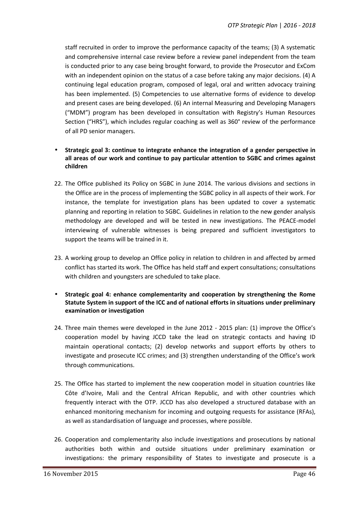staff recruited in order to improve the performance capacity of the teams; (3) A systematic and comprehensive internal case review before a review panel independent from the team is conducted prior to any case being brought forward, to provide the Prosecutor and ExCom with an independent opinion on the status of a case before taking any major decisions. (4) A continuing legal education program, composed of legal, oral and written advocacy training has been implemented. (5) Competencies to use alternative forms of evidence to develop and present cases are being developed. (6) An internal Measuring and Developing Managers ("MDM") program has been developed in consultation with Registry's Human Resources Section ("HRS"), which includes regular coaching as well as 360° review of the performance of all PD senior managers.

#### **Strategic goal 3: continue to integrate enhance the integration of a gender perspective in all areas of our work and continue to pay particular attention to SGBC and crimes against children**

- 22. The Office published its Policy on SGBC in June 2014. The various divisions and sections in the Office are in the process of implementing the SGBC policy in all aspects of their work. For instance, the template for investigation plans has been updated to cover a systematic planning and reporting in relation to SGBC. Guidelines in relation to the new gender analysis methodology are developed and will be tested in new investigations. The PEACE-model interviewing of vulnerable witnesses is being prepared and sufficient investigators to support the teams will be trained in it.
- 23. A working group to develop an Office policy in relation to children in and affected by armed conflict has started its work. The Office has held staff and expert consultations; consultations with children and youngsters are scheduled to take place.
- **Strategic goal 4: enhance complementarity and cooperation by strengthening the Rome Statute System in support of the ICC and of national efforts in situations under preliminary examination or investigation**
- 24. Three main themes were developed in the June 2012 2015 plan: (1) improve the Office's cooperation model by having JCCD take the lead on strategic contacts and having ID maintain operational contacts; (2) develop networks and support efforts by others to investigate and prosecute ICC crimes; and (3) strengthen understanding of the Office's work through communications.
- 25. The Office has started to implement the new cooperation model in situation countries like Côte d'Ivoire, Mali and the Central African Republic, and with other countries which frequently interact with the OTP. JCCD has also developed a structured database with an enhanced monitoring mechanism for incoming and outgoing requests for assistance (RFAs), as well as standardisation of language and processes, where possible.
- 26. Cooperation and complementarity also include investigations and prosecutions by national authorities both within and outside situations under preliminary examination or investigations: the primary responsibility of States to investigate and prosecute is a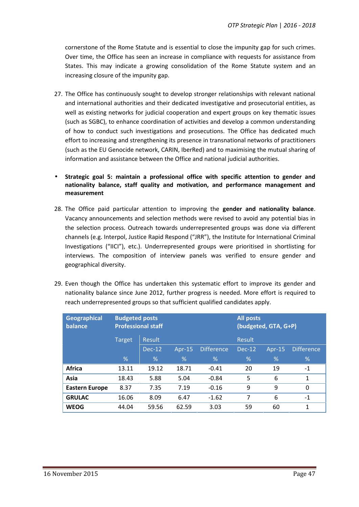cornerstone of the Rome Statute and is essential to close the impunity gap for such crimes. Over time, the Office has seen an increase in compliance with requests for assistance from States. This may indicate a growing consolidation of the Rome Statute system and an increasing closure of the impunity gap.

- 27. The Office has continuously sought to develop stronger relationships with relevant national and international authorities and their dedicated investigative and prosecutorial entities, as well as existing networks for judicial cooperation and expert groups on key thematic issues (such as SGBC), to enhance coordination of activities and develop a common understanding of how to conduct such investigations and prosecutions. The Office has dedicated much effort to increasing and strengthening its presence in transnational networks of practitioners (such as the EU Genocide network, CARIN, IberRed) and to maximising the mutual sharing of information and assistance between the Office and national judicial authorities.
- **Strategic goal 5: maintain a professional office with specific attention to gender and nationality balance, staff quality and motivation, and performance management and measurement**
- 28. The Office paid particular attention to improving the **gender and nationality balance**. Vacancy announcements and selection methods were revised to avoid any potential bias in the selection process. Outreach towards underrepresented groups was done via different channels (e.g. Interpol, Justice Rapid Respond ("JRR"), the Institute for International Criminal Investigations ("IICI"), etc.). Underrepresented groups were prioritised in shortlisting for interviews. The composition of interview panels was verified to ensure gender and geographical diversity.
- 29. Even though the Office has undertaken this systematic effort to improve its gender and nationality balance since June 2012, further progress is needed. More effort is required to reach underrepresented groups so that sufficient qualified candidates apply.

| Geographical<br>balance | <b>Budgeted posts</b><br><b>All posts</b><br><b>Professional staff</b><br>(budgeted, GTA, G+P) |          |           |                   |        |           |                   |
|-------------------------|------------------------------------------------------------------------------------------------|----------|-----------|-------------------|--------|-----------|-------------------|
|                         | Result<br><b>Target</b>                                                                        |          |           |                   | Result |           |                   |
|                         |                                                                                                | $Dec-12$ | Apr- $15$ | <b>Difference</b> | Dec-12 | Apr- $15$ | <b>Difference</b> |
|                         | %                                                                                              | %        | %         | %                 | %      | %         | %                 |
| <b>Africa</b>           | 13.11                                                                                          | 19.12    | 18.71     | $-0.41$           | 20     | 19        | $-1$              |
| Asia                    | 18.43                                                                                          | 5.88     | 5.04      | $-0.84$           | 5      | 6         | 1                 |
| <b>Eastern Europe</b>   | 8.37                                                                                           | 7.35     | 7.19      | $-0.16$           | 9      | 9         | $\Omega$          |
| <b>GRULAC</b>           | 16.06                                                                                          | 8.09     | 6.47      | $-1.62$           | 7      | 6         | $-1$              |
| <b>WEOG</b>             | 44.04                                                                                          | 59.56    | 62.59     | 3.03              | 59     | 60        | 1                 |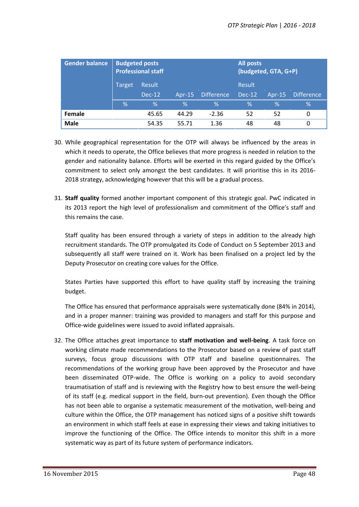| <b>Gender balance</b> | <b>Budgeted posts</b><br><b>Professional staff</b> |        |        | All posts<br>(budgeted, GTA, G+P) |               |         |                   |
|-----------------------|----------------------------------------------------|--------|--------|-----------------------------------|---------------|---------|-------------------|
|                       | Target                                             | Result |        |                                   | Result        |         |                   |
|                       |                                                    | Dec-12 | Apr-15 | <b>Difference</b>                 | <b>Dec-12</b> | $Ar-15$ | <b>Difference</b> |
|                       | %                                                  | %      | %      | %                                 | $\%$          | %       | %                 |
| Female                |                                                    | 45.65  | 44.29  | $-2.36$                           | 52            | 52      | 0                 |
| <b>Male</b>           |                                                    | 54.35  | 55.71  | 1.36                              | 48            | 48      | 0                 |

- 30. While geographical representation for the OTP will always be influenced by the areas in which it needs to operate, the Office believes that more progress is needed in relation to the gender and nationality balance. Efforts will be exerted in this regard guided by the Office's commitment to select only amongst the best candidates. It will prioritise this in its 2016- 2018 strategy, acknowledging however that this will be a gradual process.
- 31. **Staff quality** formed another important component of this strategic goal. PwC indicated in its 2013 report the high level of professionalism and commitment of the Office's staff and this remains the case.

Staff quality has been ensured through a variety of steps in addition to the already high recruitment standards. The OTP promulgated its Code of Conduct on 5 September 2013 and subsequently all staff were trained on it. Work has been finalised on a project led by the Deputy Prosecutor on creating core values for the Office.

States Parties have supported this effort to have quality staff by increasing the training budget.

The Office has ensured that performance appraisals were systematically done (84% in 2014), and in a proper manner: training was provided to managers and staff for this purpose and Office-wide guidelines were issued to avoid inflated appraisals.

32. The Office attaches great importance to **staff motivation and well-being**. A task force on working climate made recommendations to the Prosecutor based on a review of past staff surveys, focus group discussions with OTP staff and baseline questionnaires. The recommendations of the working group have been approved by the Prosecutor and have been disseminated OTP-wide. The Office is working on a policy to avoid secondary traumatisation of staff and is reviewing with the Registry how to best ensure the well-being of its staff (e.g. medical support in the field, burn-out prevention). Even though the Office has not been able to organise a systematic measurement of the motivation, well-being and culture within the Office, the OTP management has noticed signs of a positive shift towards an environment in which staff feels at ease in expressing their views and taking initiatives to improve the functioning of the Office. The Office intends to monitor this shift in a more systematic way as part of its future system of performance indicators.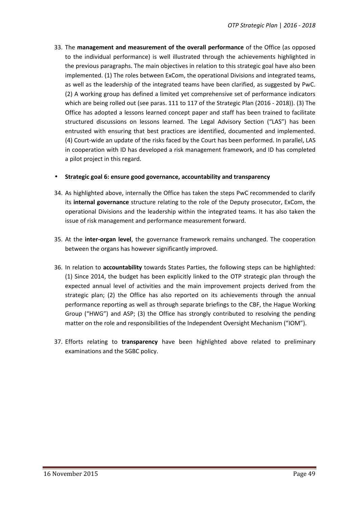33. The **management and measurement of the overall performance** of the Office (as opposed to the individual performance) is well illustrated through the achievements highlighted in the previous paragraphs. The main objectives in relation to this strategic goal have also been implemented. (1) The roles between ExCom, the operational Divisions and integrated teams, as well as the leadership of the integrated teams have been clarified, as suggested by PwC. (2) A working group has defined a limited yet comprehensive set of performance indicators which are being rolled out (see paras. 111 to 117 of the Strategic Plan (2016 - 2018)). (3) The Office has adopted a lessons learned concept paper and staff has been trained to facilitate structured discussions on lessons learned. The Legal Advisory Section ("LAS") has been entrusted with ensuring that best practices are identified, documented and implemented. (4) Court-wide an update of the risks faced by the Court has been performed. In parallel, LAS in cooperation with ID has developed a risk management framework, and ID has completed a pilot project in this regard.

#### **Strategic goal 6: ensure good governance, accountability and transparency**

- 34. As highlighted above, internally the Office has taken the steps PwC recommended to clarify its **internal governance** structure relating to the role of the Deputy prosecutor, ExCom, the operational Divisions and the leadership within the integrated teams. It has also taken the issue of risk management and performance measurement forward.
- 35. At the **inter-organ level**, the governance framework remains unchanged. The cooperation between the organs has however significantly improved.
- 36. In relation to **accountability** towards States Parties, the following steps can be highlighted: (1) Since 2014, the budget has been explicitly linked to the OTP strategic plan through the expected annual level of activities and the main improvement projects derived from the strategic plan; (2) the Office has also reported on its achievements through the annual performance reporting as well as through separate briefings to the CBF, the Hague Working Group ("HWG") and ASP; (3) the Office has strongly contributed to resolving the pending matter on the role and responsibilities of the Independent Oversight Mechanism ("IOM").
- 37. Efforts relating to **transparency** have been highlighted above related to preliminary examinations and the SGBC policy.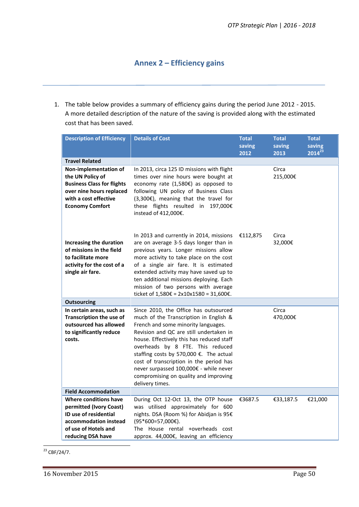# **Annex 2 – Efficiency gains**

1. The table below provides a summary of efficiency gains during the period June 2012 - 2015. A more detailed description of the nature of the saving is provided along with the estimated cost that has been saved.

| <b>Description of Efficiency</b>                                                                                                                              | <b>Details of Cost</b>                                                                                                                                                                                                                                                                                                                                                                                                                         | <b>Total</b><br>saving | <b>Total</b><br>saving | <b>Total</b><br>saving<br>$2014^{23}$ |
|---------------------------------------------------------------------------------------------------------------------------------------------------------------|------------------------------------------------------------------------------------------------------------------------------------------------------------------------------------------------------------------------------------------------------------------------------------------------------------------------------------------------------------------------------------------------------------------------------------------------|------------------------|------------------------|---------------------------------------|
| <b>Travel Related</b>                                                                                                                                         |                                                                                                                                                                                                                                                                                                                                                                                                                                                | 2012                   | 2013                   |                                       |
| Non-implementation of<br>the UN Policy of<br><b>Business Class for flights</b><br>over nine hours replaced<br>with a cost effective<br><b>Economy Comfort</b> | In 2013, circa 125 ID missions with flight<br>times over nine hours were bought at<br>economy rate (1,580€) as opposed to<br>following UN policy of Business Class<br>$(3,300)$ , meaning that the travel for<br>these flights resulted in 197,000€<br>instead of 412,000€.                                                                                                                                                                    |                        | Circa<br>215,000€      |                                       |
| Increasing the duration<br>of missions in the field<br>to facilitate more<br>activity for the cost of a<br>single air fare.                                   | In 2013 and currently in 2014, missions<br>are on average 3-5 days longer than in<br>previous years. Longer missions allow<br>more activity to take place on the cost<br>of a single air fare. It is estimated<br>extended activity may have saved up to<br>ten additional missions deploying. Each<br>mission of two persons with average<br>ticket of 1,580€ = 2x10x1580 = 31,600€.                                                          | €112,875               | Circa<br>32,000€       |                                       |
| <b>Outsourcing</b>                                                                                                                                            |                                                                                                                                                                                                                                                                                                                                                                                                                                                |                        |                        |                                       |
| In certain areas, such as<br><b>Transcription the use of</b><br>outsourced has allowed<br>to significantly reduce<br>costs.                                   | Since 2010, the Office has outsourced<br>much of the Transcription in English &<br>French and some minority languages.<br>Revision and QC are still undertaken in<br>house. Effectively this has reduced staff<br>overheads by 8 FTE. This reduced<br>staffing costs by 570,000 €. The actual<br>cost of transcription in the period has<br>never surpassed 100,000€ - while never<br>compromising on quality and improving<br>delivery times. |                        | Circa<br>470,000€      |                                       |
| <b>Field Accommodation</b>                                                                                                                                    |                                                                                                                                                                                                                                                                                                                                                                                                                                                |                        |                        |                                       |
| Where conditions have<br>permitted (Ivory Coast)<br><b>ID use of residential</b><br>accommodation instead<br>of use of Hotels and<br>reducing DSA have        | During Oct 12-Oct 13, the OTP house<br>was utilised approximately for 600<br>nights. DSA (Room %) for Abidjan is 95€<br>$(95*600=57,000€).$<br>The House rental +overheads cost<br>approx. 44,000€, leaving an efficiency                                                                                                                                                                                                                      | €3687.5                | €33,187.5              | €21,000                               |

 $23$  CBF/24/7.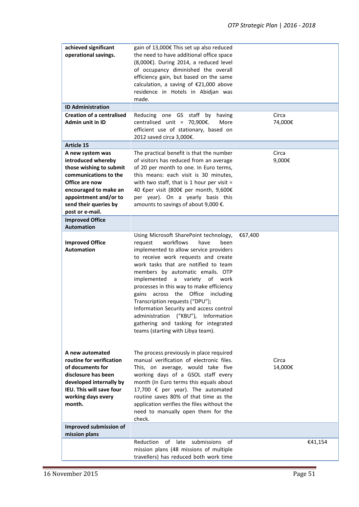| achieved significant<br>operational savings.                                                                                                                                                               | gain of 13,000€ This set up also reduced<br>the need to have additional office space<br>$(8,000)$ . During 2014, a reduced level<br>of occupancy diminished the overall<br>efficiency gain, but based on the same<br>calculation, a saving of €21,000 above<br>residence in Hotels in Abidjan was<br>made.                                                                                                                                                                                                                                                                             |                  |
|------------------------------------------------------------------------------------------------------------------------------------------------------------------------------------------------------------|----------------------------------------------------------------------------------------------------------------------------------------------------------------------------------------------------------------------------------------------------------------------------------------------------------------------------------------------------------------------------------------------------------------------------------------------------------------------------------------------------------------------------------------------------------------------------------------|------------------|
| <b>ID Administration</b>                                                                                                                                                                                   |                                                                                                                                                                                                                                                                                                                                                                                                                                                                                                                                                                                        |                  |
| <b>Creation of a centralised</b><br><b>Admin unit in ID</b>                                                                                                                                                | Reducing one GS staff<br>by<br>having<br>centralised unit = $70,900 \epsilon$ .<br>More<br>efficient use of stationary, based on<br>2012 saved circa 3,000€.                                                                                                                                                                                                                                                                                                                                                                                                                           | Circa<br>74,000€ |
| <b>Article 15</b>                                                                                                                                                                                          |                                                                                                                                                                                                                                                                                                                                                                                                                                                                                                                                                                                        |                  |
| A new system was<br>introduced whereby<br>those wishing to submit<br>communications to the<br>Office are now<br>encouraged to make an<br>appointment and/or to<br>send their queries by<br>post or e-mail. | The practical benefit is that the number<br>of visitors has reduced from an average<br>of 20 per month to one. In Euro terms,<br>this means: each visit is 30 minutes,<br>with two staff, that is 1 hour per visit $=$<br>40 €per visit (800€ per month, 9,600€<br>per year). On a yearly basis this<br>amounts to savings of about 9,000 €.                                                                                                                                                                                                                                           | Circa<br>9,000€  |
| <b>Improved Office</b><br><b>Automation</b>                                                                                                                                                                |                                                                                                                                                                                                                                                                                                                                                                                                                                                                                                                                                                                        |                  |
| <b>Improved Office</b><br><b>Automation</b>                                                                                                                                                                | Using Microsoft SharePoint technology,<br>workflows<br>have<br>request<br>been<br>implemented to allow service providers<br>to receive work requests and create<br>work tasks that are notified to team<br>members by automatic emails. OTP<br>implemented<br>$\mathsf{a}$<br>variety of work<br>processes in this way to make efficiency<br>across the Office including<br>gains<br>Transcription requests ("DPU");<br>Information Security and access control<br>administration<br>("KBU"), Information<br>gathering and tasking for integrated<br>teams (starting with Libya team). | €67,400          |
| A new automated<br>routine for verification<br>of documents for<br>disclosure has been<br>developed internally by<br>IEU. This will save four<br>working days every<br>month.                              | The process previously in place required<br>manual verification of electronic files.<br>This, on average, would take five<br>working days of a GSOL staff every<br>month (in Euro terms this equals about<br>17,700 € per year). The automated<br>routine saves 80% of that time as the<br>application verifies the files without the<br>need to manually open them for the<br>check.                                                                                                                                                                                                  | Circa<br>14,000€ |
| Improved submission of<br>mission plans                                                                                                                                                                    |                                                                                                                                                                                                                                                                                                                                                                                                                                                                                                                                                                                        |                  |
|                                                                                                                                                                                                            | 0f<br>Reduction<br>late<br>submissions<br>οf<br>mission plans (48 missions of multiple<br>travellers) has reduced both work time                                                                                                                                                                                                                                                                                                                                                                                                                                                       | €41,154          |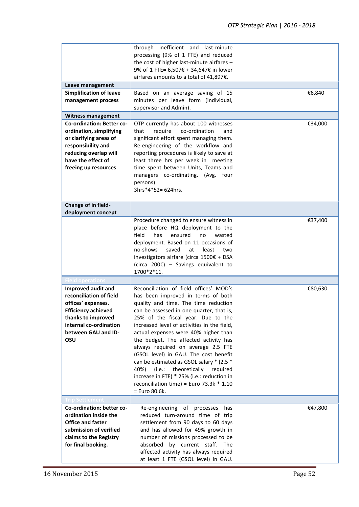|                                               | through inefficient and last-minute<br>processing (9% of 1 FTE) and reduced<br>the cost of higher last-minute airfares -<br>9% of 1 FTE= 6,507€ + 34,647€ in lower |         |
|-----------------------------------------------|--------------------------------------------------------------------------------------------------------------------------------------------------------------------|---------|
|                                               | airfares amounts to a total of 41,897€.                                                                                                                            |         |
| Leave management                              |                                                                                                                                                                    |         |
| <b>Simplification of leave</b>                | Based on an average saving of 15                                                                                                                                   | €6,840  |
| management process                            | minutes per leave form (individual,                                                                                                                                |         |
|                                               | supervisor and Admin).                                                                                                                                             |         |
| <b>Witness management</b>                     |                                                                                                                                                                    |         |
| <b>Co-ordination: Better co-</b>              | OTP currently has about 100 witnesses                                                                                                                              | €34,000 |
| ordination, simplifying                       | co-ordination<br>that<br>require<br>and                                                                                                                            |         |
| or clarifying areas of                        | significant effort spent managing them.                                                                                                                            |         |
| responsibility and<br>reducing overlap will   | Re-engineering of the workflow and<br>reporting procedures is likely to save at                                                                                    |         |
| have the effect of                            | least three hrs per week in meeting                                                                                                                                |         |
| freeing up resources                          | time spent between Units, Teams and                                                                                                                                |         |
|                                               | managers co-ordinating. (Avg. four                                                                                                                                 |         |
|                                               | persons)                                                                                                                                                           |         |
|                                               | $3hrs*4*52=624hrs.$                                                                                                                                                |         |
|                                               |                                                                                                                                                                    |         |
| Change of in field-                           |                                                                                                                                                                    |         |
| deployment concept                            |                                                                                                                                                                    |         |
|                                               | Procedure changed to ensure witness in                                                                                                                             | €37,400 |
|                                               | place before HQ deployment to the                                                                                                                                  |         |
|                                               | field<br>has<br>ensured<br>no<br>wasted                                                                                                                            |         |
|                                               | deployment. Based on 11 occasions of                                                                                                                               |         |
|                                               | no-shows<br>saved<br>at<br>least<br>two                                                                                                                            |         |
|                                               | investigators airfare (circa 1500€ + DSA                                                                                                                           |         |
|                                               | (circa 200 $\varepsilon$ ) - Savings equivalent to<br>1700*2*11.                                                                                                   |         |
|                                               |                                                                                                                                                                    |         |
| <b>Field operations</b><br>Improved audit and | Reconciliation of field offices' MOD's                                                                                                                             | €80,630 |
| reconciliation of field                       | has been improved in terms of both                                                                                                                                 |         |
| offices' expenses.                            | quality and time. The time reduction                                                                                                                               |         |
| <b>Efficiency achieved</b>                    | can be assessed in one quarter, that is,                                                                                                                           |         |
| thanks to improved                            | 25% of the fiscal year. Due to the                                                                                                                                 |         |
| internal co-ordination                        | increased level of activities in the field,                                                                                                                        |         |
| between GAU and ID-                           | actual expenses were 40% higher than                                                                                                                               |         |
| OSU                                           | the budget. The affected activity has                                                                                                                              |         |
|                                               | always required on average 2.5 FTE                                                                                                                                 |         |
|                                               | (GSOL level) in GAU. The cost benefit                                                                                                                              |         |
|                                               | can be estimated as GSOL salary * (2.5 *                                                                                                                           |         |
|                                               | theoretically<br>40%)<br>(i.e.:<br>required                                                                                                                        |         |
|                                               | increase in FTE) * 25% (i.e.: reduction in                                                                                                                         |         |
|                                               | reconciliation time) = Euro 73.3k $*$ 1.10                                                                                                                         |         |
|                                               | = Euro 80.6k.                                                                                                                                                      |         |
| rip Settlement                                |                                                                                                                                                                    |         |
| Co-ordination: better co-                     | Re-engineering of processes has                                                                                                                                    | €47,800 |
| ordination inside the                         | reduced turn-around time of trip                                                                                                                                   |         |
| <b>Office and faster</b>                      | settlement from 90 days to 60 days                                                                                                                                 |         |
| submission of verified                        | and has allowed for 49% growth in                                                                                                                                  |         |
| claims to the Registry                        | number of missions processed to be                                                                                                                                 |         |
| for final booking.                            | by current staff. The<br>absorbed                                                                                                                                  |         |
|                                               | affected activity has always required                                                                                                                              |         |
|                                               | at least 1 FTE (GSOL level) in GAU.                                                                                                                                |         |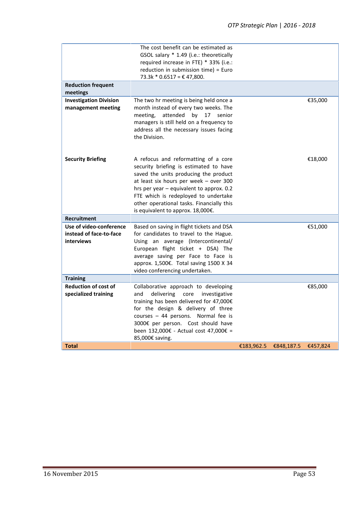|                                                                                        | The cost benefit can be estimated as<br>GSOL salary * 1.49 (i.e.: theoretically<br>required increase in FTE) * 33% (i.e.:<br>reduction in submission time) = Euro<br>73.3k * 0.6517 = € 47,800.                                                                                                                                         |            |            |          |
|----------------------------------------------------------------------------------------|-----------------------------------------------------------------------------------------------------------------------------------------------------------------------------------------------------------------------------------------------------------------------------------------------------------------------------------------|------------|------------|----------|
| <b>Reduction frequent</b><br>meetings                                                  |                                                                                                                                                                                                                                                                                                                                         |            |            |          |
| <b>Investigation Division</b><br>management meeting                                    | The two hr meeting is being held once a<br>month instead of every two weeks. The<br>meeting,<br>attended<br>by<br>17<br>senior<br>managers is still held on a frequency to<br>address all the necessary issues facing<br>the Division.                                                                                                  |            |            | €35,000  |
| <b>Security Briefing</b>                                                               | A refocus and reformatting of a core<br>security briefing is estimated to have<br>saved the units producing the product<br>at least six hours per week - over 300<br>hrs per year - equivalent to approx. 0.2<br>FTE which is redeployed to undertake<br>other operational tasks. Financially this<br>is equivalent to approx. 18,000€. |            |            | €18,000  |
| <b>Recruitment</b><br>Use of video-conference<br>instead of face-to-face<br>interviews | Based on saving in flight tickets and DSA<br>for candidates to travel to the Hague.<br>Using an average (Intercontinental/<br>European flight ticket + DSA) The<br>average saving per Face to Face is<br>approx. 1,500€. Total saving 1500 X 34<br>video conferencing undertaken.                                                       |            |            | €51,000  |
| <b>Training</b>                                                                        |                                                                                                                                                                                                                                                                                                                                         |            |            |          |
| <b>Reduction of cost of</b><br>specialized training                                    | Collaborative approach to developing<br>delivering<br>core<br>investigative<br>and<br>training has been delivered for 47,000€<br>for the design & delivery of three<br>courses - 44 persons. Normal fee is<br>3000€ per person. Cost should have<br>been 132,000€ - Actual cost 47,000€ =<br>85,000€ saving.                            |            |            | €85,000  |
| <b>Total</b>                                                                           |                                                                                                                                                                                                                                                                                                                                         | €183,962.5 | €848,187.5 | €457,824 |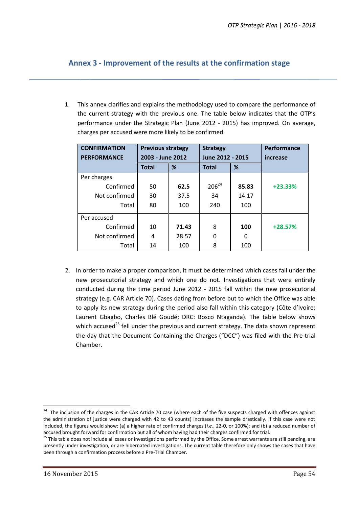# **Annex 3 - Improvement of the results at the confirmation stage**

1. This annex clarifies and explains the methodology used to compare the performance of the current strategy with the previous one. The table below indicates that the OTP's performance under the Strategic Plan (June 2012 - 2015) has improved. On average, charges per accused were more likely to be confirmed.

| <b>CONFIRMATION</b><br><b>PERFORMANCE</b> | <b>Previous strategy</b><br>2003 - June 2012 |       | <b>Strategy</b><br>June 2012 - 2015 |       | Performance<br>increase |
|-------------------------------------------|----------------------------------------------|-------|-------------------------------------|-------|-------------------------|
|                                           | <b>Total</b>                                 | %     | <b>Total</b>                        | %     |                         |
| Per charges                               |                                              |       |                                     |       |                         |
| Confirmed                                 | 50                                           | 62.5  | $206^{24}$                          | 85.83 | $+23.33%$               |
| Not confirmed                             | 30                                           | 37.5  | 34                                  | 14.17 |                         |
| Total                                     | 80                                           | 100   | 240                                 | 100   |                         |
| Per accused                               |                                              |       |                                     |       |                         |
| Confirmed                                 | 10                                           | 71.43 | 8                                   | 100   | $+28.57%$               |
| Not confirmed                             | 4                                            | 28.57 | 0                                   | 0     |                         |
| Total                                     | 14                                           | 100   | 8                                   | 100   |                         |

2. In order to make a proper comparison, it must be determined which cases fall under the new prosecutorial strategy and which one do not. Investigations that were entirely conducted during the time period June 2012 - 2015 fall within the new prosecutorial strategy (e.g. CAR Article 70). Cases dating from before but to which the Office was able to apply its new strategy during the period also fall within this category (Côte d'Ivoire: Laurent Gbagbo, Charles Blé Goudé; DRC: Bosco Ntaganda). The table below shows which accused<sup>25</sup> fell under the previous and current strategy. The data shown represent the day that the Document Containing the Charges ("DCC") was filed with the Pre-trial Chamber.

<sup>&</sup>lt;sup>24</sup> The inclusion of the charges in the CAR Article 70 case (where each of the five suspects charged with offences against the administration of justice were charged with 42 to 43 counts) increases the sample drastically. If this case were not included, the figures would show: (a) a higher rate of confirmed charges (*i.e.*, 22-0, or 100%); and (b) a reduced number of

accused brought forward for confirmation but all of whom having had their charges confirmed for trial.<br><sup>25</sup> This table does not include all cases or investigations performed by the Office. Some arrest warrants are still pe presently under investigation, or are hibernated investigations. The current table therefore only shows the cases that have been through a confirmation process before a Pre-Trial Chamber.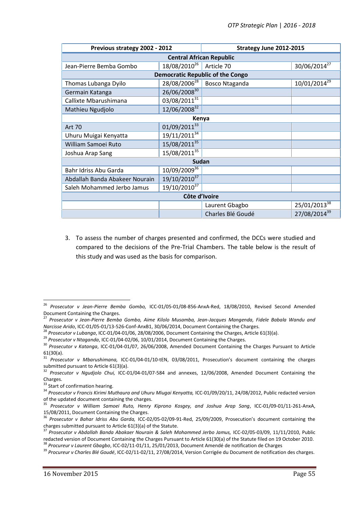| Previous strategy 2002 - 2012                                                                  |                          | Strategy June 2012-2015 |                          |  |  |  |  |
|------------------------------------------------------------------------------------------------|--------------------------|-------------------------|--------------------------|--|--|--|--|
| <b>Central African Republic</b>                                                                |                          |                         |                          |  |  |  |  |
| Jean-Pierre Bemba Gombo                                                                        | 18/08/2010 <sup>26</sup> | Article 70              | 30/06/2014 <sup>27</sup> |  |  |  |  |
| <b>Democratic Republic of the Congo</b>                                                        |                          |                         |                          |  |  |  |  |
| 28/08/2006 <sup>28</sup><br>10/01/2014 <sup>29</sup><br>Bosco Ntaganda<br>Thomas Lubanga Dyilo |                          |                         |                          |  |  |  |  |
| Germain Katanga                                                                                | 26/06/200830             |                         |                          |  |  |  |  |
| Callixte Mbarushimana                                                                          | 03/08/201131             |                         |                          |  |  |  |  |
| Mathieu Ngudjolo                                                                               | 12/06/2008 <sup>32</sup> |                         |                          |  |  |  |  |
| Kenya                                                                                          |                          |                         |                          |  |  |  |  |
| <b>Art 70</b>                                                                                  | 01/09/201133             |                         |                          |  |  |  |  |
| Uhuru Muigai Kenyatta                                                                          | 19/11/2011 <sup>34</sup> |                         |                          |  |  |  |  |
| William Samoei Ruto                                                                            | 15/08/2011 <sup>35</sup> |                         |                          |  |  |  |  |
| Joshua Arap Sang                                                                               | 15/08/2011 <sup>35</sup> |                         |                          |  |  |  |  |
|                                                                                                | Sudan                    |                         |                          |  |  |  |  |
| Bahr Idriss Abu Garda                                                                          | 10/09/200936             |                         |                          |  |  |  |  |
| Abdallah Banda Abakeer Nourain                                                                 | 19/10/2010 <sup>37</sup> |                         |                          |  |  |  |  |
| Saleh Mohammed Jerbo Jamus                                                                     | 19/10/2010 <sup>37</sup> |                         |                          |  |  |  |  |
| Côte d'Ivoire                                                                                  |                          |                         |                          |  |  |  |  |
|                                                                                                |                          | Laurent Gbagbo          | 25/01/2013 <sup>38</sup> |  |  |  |  |
|                                                                                                |                          | Charles Blé Goudé       | 27/08/2014 <sup>39</sup> |  |  |  |  |

3. To assess the number of charges presented and confirmed, the DCCs were studied and compared to the decisions of the Pre-Trial Chambers. The table below is the result of this study and was used as the basis for comparison.

<sup>&</sup>lt;sup>26</sup> *Prosecutor v Jean-Pierre Bemba Gombo,* ICC-01/05-01/08-856-AnxA-Red, 18/08/2010, Revised Second Amended<br>Document Containing the Charges.

<sup>&</sup>lt;sup>27</sup> Prosecutor v Jean-Pierre Bemba Gombo, Aime Kilolo Musamba, Jean-Jacques Mangenda, Fidele Babala Wandu and<br>Narcisse Arido. ICC-01/05-01/13-526-Conf-AnxB1. 30/06/2014. Document Containing the Charges.

<sup>&</sup>lt;sup>28</sup> Prosecutor v Lubanga, ICC-01/04-01/06, 28/08/2006, Document Containing the Charges, Article 61(3)(a).<br><sup>29</sup> Prosecutor v Ntaganda, ICC-01/04-02/06, 10/01/2014, Document Containing the Charges.<br><sup>30</sup> Prosecutor v Katang

<sup>61(30(</sup>a). <sup>31</sup> *Prosecutor v Mbarushimana,* ICC-01/04-01/10-tEN, 03/08/2011, Prosecution's document containing the charges submitted pursuant to Article 61(3)(a).<br><sup>32</sup> Prosecutor v Ngudjolo Chui, ICC-01/04-01/07-584 and annexes, 12/06/2008, Amended Document Containing the

Charges.<br><sup>33</sup> Start of confirmation hearing.<br><sup>34</sup> *Prosecutor v Francis Kirimi Muthaura and Uhuru Miugai Kenyatta,* ICC-01/09/20/11, 24/08/2012, Public redacted version<br>of the updated document containing the charges.

<sup>&</sup>lt;sup>35</sup> Prosecutor v William Samoei Ruto, Henry Kiprono Kosgey, and Joshua Arap Sang, ICC-01/09-01/11-261-AnxA,<br>15/08/2011, Document Containing the Charges.

<sup>&</sup>lt;sup>36</sup> Prosecutor v Bahar Idriss Abu Garda, ICC-02/05-02/09-91-Red, 25/09/2009, Prosecution's document containing the charges submitted pursuant to Article 61(3)(a) of the Statute.

<sup>&</sup>lt;sup>37</sup> Prosecutor v Abdallah Banda Abakaer Nourain & Saleh Mohammed Jerbo Jamus, ICC-02/05-03/09, 11/11/2010, Public<br>redacted version of Document Containing the Charges Pursuant to Article 61(30(a) of the Statute filed on 19

<sup>&</sup>lt;sup>38</sup> Procureur v Laurent Gbagbo, ICC-02/11-01/11, 25/01/2013, Document Amendé de notification de Charges

<sup>39</sup> *Procureur v Charles Blé Goudé*, ICC-02/11-02/11, 27/08/2014, Version Corrigée du Document de notification des charges.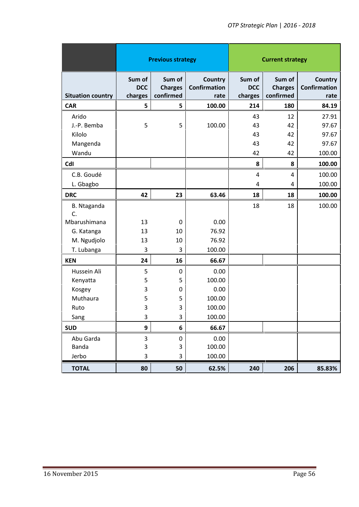|                          |                                 | <b>Previous strategy</b>              |                                               | <b>Current strategy</b>         |                                       |                                               |
|--------------------------|---------------------------------|---------------------------------------|-----------------------------------------------|---------------------------------|---------------------------------------|-----------------------------------------------|
| <b>Situation country</b> | Sum of<br><b>DCC</b><br>charges | Sum of<br><b>Charges</b><br>confirmed | <b>Country</b><br><b>Confirmation</b><br>rate | Sum of<br><b>DCC</b><br>charges | Sum of<br><b>Charges</b><br>confirmed | <b>Country</b><br><b>Confirmation</b><br>rate |
| <b>CAR</b>               | 5                               | 5                                     | 100.00                                        | 214                             | 180                                   | 84.19                                         |
| Arido                    |                                 |                                       |                                               | 43                              | 12                                    | 27.91                                         |
| J.-P. Bemba              | 5                               | 5                                     | 100.00                                        | 43                              | 42                                    | 97.67                                         |
| Kilolo                   |                                 |                                       |                                               | 43                              | 42                                    | 97.67                                         |
| Mangenda                 |                                 |                                       |                                               | 43                              | 42                                    | 97.67                                         |
| Wandu                    |                                 |                                       |                                               | 42                              | 42                                    | 100.00                                        |
| CdI                      |                                 |                                       |                                               | 8                               | 8                                     | 100.00                                        |
| C.B. Goudé               |                                 |                                       |                                               | 4                               | $\overline{4}$                        | 100.00                                        |
| L. Gbagbo                |                                 |                                       |                                               | 4                               | 4                                     | 100.00                                        |
| <b>DRC</b>               | 42                              | 23                                    | 63.46                                         | 18                              | 18                                    | 100.00                                        |
| B. Ntaganda<br>C.        |                                 |                                       |                                               | 18                              | 18                                    | 100.00                                        |
| Mbarushimana             | 13                              | 0                                     | 0.00                                          |                                 |                                       |                                               |
| G. Katanga               | 13                              | 10                                    | 76.92                                         |                                 |                                       |                                               |
| M. Ngudjolo              | 13                              | 10                                    | 76.92                                         |                                 |                                       |                                               |
| T. Lubanga               | 3                               | 3                                     | 100.00                                        |                                 |                                       |                                               |
| <b>KEN</b>               | 24                              | 16                                    | 66.67                                         |                                 |                                       |                                               |
| Hussein Ali              | 5                               | $\mathbf 0$                           | 0.00                                          |                                 |                                       |                                               |
| Kenyatta                 | 5                               | 5                                     | 100.00                                        |                                 |                                       |                                               |
| Kosgey                   | 3                               | 0                                     | 0.00                                          |                                 |                                       |                                               |
| Muthaura                 | 5                               | 5                                     | 100.00                                        |                                 |                                       |                                               |
| Ruto                     | 3                               | 3                                     | 100.00                                        |                                 |                                       |                                               |
| Sang                     | 3                               | 3                                     | 100.00                                        |                                 |                                       |                                               |
| <b>SUD</b>               | 9                               | 6                                     | 66.67                                         |                                 |                                       |                                               |
| Abu Garda                | 3                               | $\pmb{0}$                             | 0.00                                          |                                 |                                       |                                               |
| Banda                    | 3                               | 3                                     | 100.00                                        |                                 |                                       |                                               |
|                          |                                 |                                       |                                               |                                 |                                       |                                               |
| Jerbo                    | 3                               | 3                                     | 100.00                                        |                                 |                                       |                                               |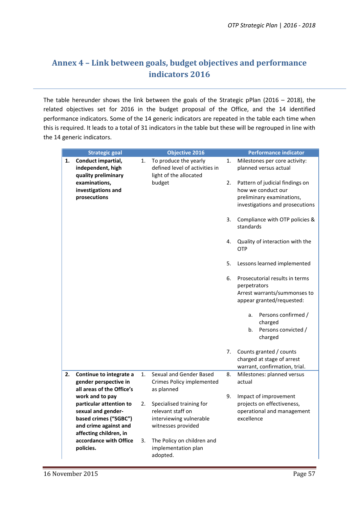# **Annex 4 –Link between goals, budget objectives and performance indicators 2016**

The table hereunder shows the link between the goals of the Strategic pPlan (2016 – 2018), the related objectives set for 2016 in the budget proposal of the Office, and the 14 identified performance indicators. Some of the 14 generic indicators are repeated in the table each time when this is required. It leads to a total of 31 indicators in the table but these will be regrouped in line with the 14 generic indicators.

|    | <b>Strategic goal</b>                                                                                                                        |                                                                                         | <b>Objective 2016</b>                                                                          |    | <b>Performance indicator</b>                                                                                          |
|----|----------------------------------------------------------------------------------------------------------------------------------------------|-----------------------------------------------------------------------------------------|------------------------------------------------------------------------------------------------|----|-----------------------------------------------------------------------------------------------------------------------|
| 1. | Conduct impartial,<br>independent, high<br>quality preliminary                                                                               | To produce the yearly<br>1.<br>defined level of activities in<br>light of the allocated |                                                                                                | 1. | Milestones per core activity:<br>planned versus actual                                                                |
|    | examinations,<br>investigations and<br>prosecutions                                                                                          |                                                                                         | budget                                                                                         | 2. | Pattern of judicial findings on<br>how we conduct our<br>preliminary examinations,<br>investigations and prosecutions |
|    |                                                                                                                                              |                                                                                         |                                                                                                | 3. | Compliance with OTP policies &<br>standards                                                                           |
|    |                                                                                                                                              |                                                                                         |                                                                                                | 4. | Quality of interaction with the<br>OTP                                                                                |
|    |                                                                                                                                              |                                                                                         |                                                                                                | 5. | Lessons learned implemented                                                                                           |
|    |                                                                                                                                              |                                                                                         |                                                                                                | 6. | Prosecutorial results in terms<br>perpetrators<br>Arrest warrants/summonses to<br>appear granted/requested:           |
|    |                                                                                                                                              |                                                                                         |                                                                                                |    | Persons confirmed /<br>a.<br>charged<br>Persons convicted /<br>b.<br>charged                                          |
|    |                                                                                                                                              |                                                                                         |                                                                                                | 7. | Counts granted / counts<br>charged at stage of arrest<br>warrant, confirmation, trial.                                |
| 2. | Continue to integrate a<br>gender perspective in<br>all areas of the Office's                                                                | 1.                                                                                      | Sexual and Gender Based<br>Crimes Policy implemented<br>as planned                             | 8. | Milestones: planned versus<br>actual                                                                                  |
|    | work and to pay<br>particular attention to<br>sexual and gender-<br>based crimes ("SGBC")<br>and crime against and<br>affecting children, in | 2.                                                                                      | Specialised training for<br>relevant staff on<br>interviewing vulnerable<br>witnesses provided | 9. | Impact of improvement<br>projects on effectiveness,<br>operational and management<br>excellence                       |
|    | accordance with Office<br>policies.                                                                                                          | 3.                                                                                      | The Policy on children and<br>implementation plan<br>adopted.                                  |    |                                                                                                                       |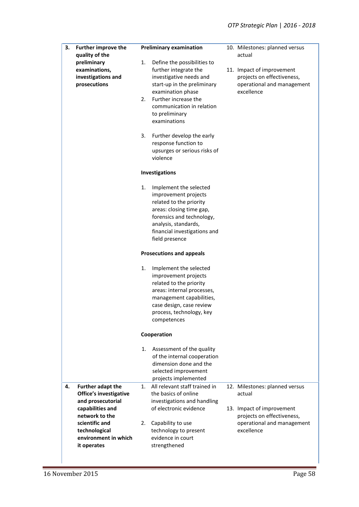| 3. | <b>Further improve the</b><br>quality of the<br>preliminary<br>examinations,<br>investigations and<br>prosecutions                                                                      | <b>Preliminary examination</b><br>1.<br>Define the possibilities to<br>further integrate the<br>investigative needs and<br>start-up in the preliminary<br>examination phase<br>Further increase the<br>2.<br>communication in relation<br>to preliminary<br>examinations<br>3.<br>Further develop the early<br>response function to<br>upsurges or serious risks of | 10. Milestones: planned versus<br>actual<br>11. Impact of improvement<br>projects on effectiveness,<br>operational and management<br>excellence |
|----|-----------------------------------------------------------------------------------------------------------------------------------------------------------------------------------------|---------------------------------------------------------------------------------------------------------------------------------------------------------------------------------------------------------------------------------------------------------------------------------------------------------------------------------------------------------------------|-------------------------------------------------------------------------------------------------------------------------------------------------|
|    |                                                                                                                                                                                         | violence<br>Investigations                                                                                                                                                                                                                                                                                                                                          |                                                                                                                                                 |
|    |                                                                                                                                                                                         | 1.<br>Implement the selected<br>improvement projects<br>related to the priority<br>areas: closing time gap,<br>forensics and technology,<br>analysis, standards,<br>financial investigations and<br>field presence                                                                                                                                                  |                                                                                                                                                 |
|    |                                                                                                                                                                                         | <b>Prosecutions and appeals</b>                                                                                                                                                                                                                                                                                                                                     |                                                                                                                                                 |
|    |                                                                                                                                                                                         | 1.<br>Implement the selected<br>improvement projects<br>related to the priority<br>areas: internal processes,<br>management capabilities,<br>case design, case review<br>process, technology, key<br>competences                                                                                                                                                    |                                                                                                                                                 |
|    |                                                                                                                                                                                         | Cooperation                                                                                                                                                                                                                                                                                                                                                         |                                                                                                                                                 |
|    |                                                                                                                                                                                         | Assessment of the quality<br>1.<br>of the internal cooperation<br>dimension done and the<br>selected improvement<br>projects implemented                                                                                                                                                                                                                            |                                                                                                                                                 |
| 4. | <b>Further adapt the</b><br>Office's investigative<br>and prosecutorial<br>capabilities and<br>network to the<br>scientific and<br>technological<br>environment in which<br>it operates | All relevant staff trained in<br>1.<br>the basics of online<br>investigations and handling<br>of electronic evidence<br>Capability to use<br>2.<br>technology to present<br>evidence in court<br>strengthened                                                                                                                                                       | 12. Milestones: planned versus<br>actual<br>13. Impact of improvement<br>projects on effectiveness,<br>operational and management<br>excellence |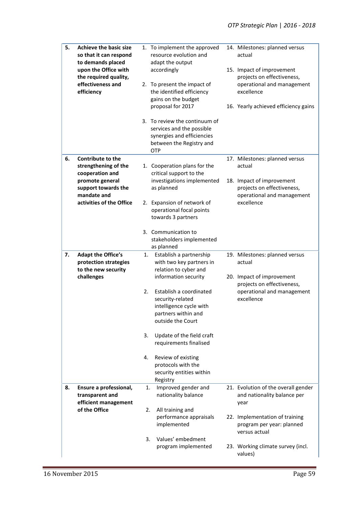| 5. | <b>Achieve the basic size</b><br>so that it can respond<br>to demands placed<br>upon the Office with<br>the required quality,<br>effectiveness and<br>efficiency | 1. To implement the approved<br>resource evolution and<br>adapt the output<br>accordingly<br>2. To present the impact of<br>the identified efficiency<br>gains on the budget | 14. Milestones: planned versus<br>actual<br>15. Impact of improvement<br>projects on effectiveness,<br>operational and management<br>excellence |
|----|------------------------------------------------------------------------------------------------------------------------------------------------------------------|------------------------------------------------------------------------------------------------------------------------------------------------------------------------------|-------------------------------------------------------------------------------------------------------------------------------------------------|
|    |                                                                                                                                                                  | proposal for 2017<br>3. To review the continuum of<br>services and the possible<br>synergies and efficiencies<br>between the Registry and<br>OTP                             | 16. Yearly achieved efficiency gains                                                                                                            |
| 6. | <b>Contribute to the</b><br>strengthening of the<br>cooperation and<br>promote general                                                                           | 1. Cooperation plans for the<br>critical support to the<br>investigations implemented                                                                                        | 17. Milestones: planned versus<br>actual<br>18. Impact of improvement                                                                           |
|    | support towards the<br>mandate and<br>activities of the Office                                                                                                   | as planned<br>2. Expansion of network of<br>operational focal points                                                                                                         | projects on effectiveness,<br>operational and management<br>excellence                                                                          |
|    |                                                                                                                                                                  | towards 3 partners<br>3. Communication to<br>stakeholders implemented<br>as planned                                                                                          |                                                                                                                                                 |
| 7. | <b>Adapt the Office's</b><br>protection strategies<br>to the new security                                                                                        | Establish a partnership<br>1.<br>with two key partners in<br>relation to cyber and                                                                                           | 19. Milestones: planned versus<br>actual                                                                                                        |
|    | challenges                                                                                                                                                       | information security                                                                                                                                                         | 20. Impact of improvement<br>projects on effectiveness,                                                                                         |
|    |                                                                                                                                                                  |                                                                                                                                                                              |                                                                                                                                                 |
|    |                                                                                                                                                                  | Establish a coordinated<br>2.<br>security-related<br>intelligence cycle with<br>partners within and<br>outside the Court                                                     | operational and management<br>excellence                                                                                                        |
|    |                                                                                                                                                                  | Update of the field craft<br>3.<br>requirements finalised                                                                                                                    |                                                                                                                                                 |
|    |                                                                                                                                                                  | Review of existing<br>4.<br>protocols with the<br>security entities within<br>Registry                                                                                       |                                                                                                                                                 |
| 8. | Ensure a professional,<br>transparent and<br>efficient management                                                                                                | Improved gender and<br>1.<br>nationality balance                                                                                                                             | 21. Evolution of the overall gender<br>and nationality balance per<br>year                                                                      |
|    | of the Office                                                                                                                                                    | 2.<br>All training and<br>performance appraisals<br>implemented                                                                                                              | 22. Implementation of training<br>program per year: planned<br>versus actual                                                                    |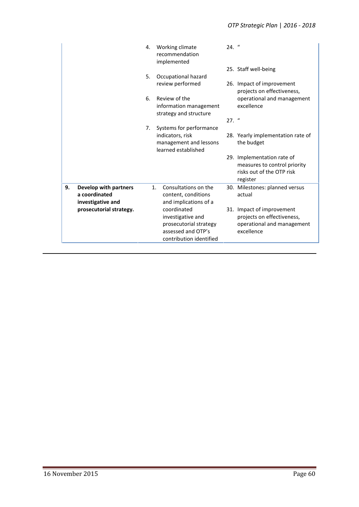|    |                                                             | 4. | Working climate<br>recommendation<br>implemented                                                            | $24.$ " |                                                                                                     |
|----|-------------------------------------------------------------|----|-------------------------------------------------------------------------------------------------------------|---------|-----------------------------------------------------------------------------------------------------|
|    |                                                             | 5. | Occupational hazard                                                                                         |         | 25. Staff well-being                                                                                |
|    |                                                             |    | review performed                                                                                            |         | 26. Impact of improvement<br>projects on effectiveness,                                             |
|    |                                                             | 6. | Review of the<br>information management<br>strategy and structure                                           |         | operational and management<br>excellence                                                            |
|    |                                                             |    |                                                                                                             | $27.$ " |                                                                                                     |
|    |                                                             | 7. | Systems for performance<br>indicators, risk<br>management and lessons<br>learned established                |         | 28. Yearly implementation rate of<br>the budget                                                     |
|    |                                                             |    |                                                                                                             |         | 29. Implementation rate of<br>measures to control priority<br>risks out of the OTP risk<br>register |
| 9. | Develop with partners<br>a coordinated<br>investigative and | 1. | Consultations on the<br>content, conditions<br>and implications of a                                        |         | 30. Milestones: planned versus<br>actual                                                            |
|    | prosecutorial strategy.                                     |    | coordinated<br>investigative and<br>prosecutorial strategy<br>assessed and OTP's<br>contribution identified |         | 31. Impact of improvement<br>projects on effectiveness,<br>operational and management<br>excellence |